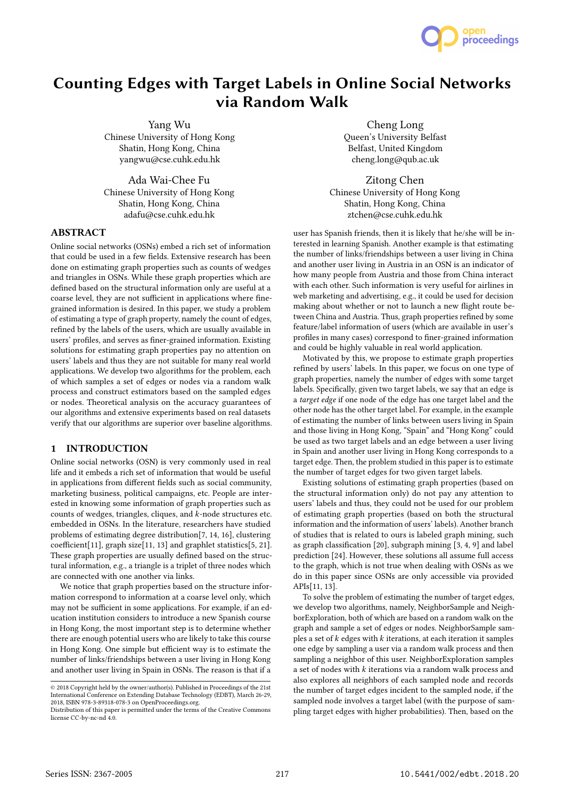

# Counting Edges with Target Labels in Online Social Networks via Random Walk

Yang Wu Chinese University of Hong Kong Shatin, Hong Kong, China yangwu@cse.cuhk.edu.hk

Ada Wai-Chee Fu Chinese University of Hong Kong Shatin, Hong Kong, China adafu@cse.cuhk.edu.hk

# **ABSTRACT**

Online social networks (OSNs) embed a rich set of information that could be used in a few fields. Extensive research has been done on estimating graph properties such as counts of wedges and triangles in OSNs. While these graph properties which are defined based on the structural information only are useful at a coarse level, they are not sufficient in applications where finegrained information is desired. In this paper, we study a problem of estimating a type of graph property, namely the count of edges, refined by the labels of the users, which are usually available in users' profiles, and serves as finer-grained information. Existing solutions for estimating graph properties pay no attention on users' labels and thus they are not suitable for many real world applications. We develop two algorithms for the problem, each of which samples a set of edges or nodes via a random walk process and construct estimators based on the sampled edges or nodes. Theoretical analysis on the accuracy guarantees of our algorithms and extensive experiments based on real datasets verify that our algorithms are superior over baseline algorithms.

## 1 INTRODUCTION

Online social networks (OSN) is very commonly used in real life and it embeds a rich set of information that would be useful in applications from different fields such as social community, marketing business, political campaigns, etc. People are interested in knowing some information of graph properties such as counts of wedges, triangles, cliques, and k-node structures etc. embedded in OSNs. In the literature, researchers have studied problems of estimating degree distribution[7, 14, 16], clustering coefficient[11], graph size[11, 13] and graphlet statistics[5, 21]. These graph properties are usually defined based on the structural information, e.g., a triangle is a triplet of three nodes which are connected with one another via links.

We notice that graph properties based on the structure information correspond to information at a coarse level only, which may not be sufficient in some applications. For example, if an education institution considers to introduce a new Spanish course in Hong Kong, the most important step is to determine whether there are enough potential users who are likely to take this course in Hong Kong. One simple but efficient way is to estimate the number of links/friendships between a user living in Hong Kong and another user living in Spain in OSNs. The reason is that if a

Cheng Long Queen's University Belfast Belfast, United Kingdom cheng.long@qub.ac.uk

Zitong Chen Chinese University of Hong Kong Shatin, Hong Kong, China ztchen@cse.cuhk.edu.hk

user has Spanish friends, then it is likely that he/she will be interested in learning Spanish. Another example is that estimating the number of links/friendships between a user living in China and another user living in Austria in an OSN is an indicator of how many people from Austria and those from China interact with each other. Such information is very useful for airlines in web marketing and advertising, e.g., it could be used for decision making about whether or not to launch a new flight route between China and Austria. Thus, graph properties refined by some feature/label information of users (which are available in user's profiles in many cases) correspond to finer-grained information and could be highly valuable in real world application.

Motivated by this, we propose to estimate graph properties refined by users' labels. In this paper, we focus on one type of graph properties, namely the number of edges with some target labels. Specifically, given two target labels, we say that an edge is a target edge if one node of the edge has one target label and the other node has the other target label. For example, in the example of estimating the number of links between users living in Spain and those living in Hong Kong, "Spain" and "Hong Kong" could be used as two target labels and an edge between a user living in Spain and another user living in Hong Kong corresponds to a target edge. Then, the problem studied in this paper is to estimate the number of target edges for two given target labels.

Existing solutions of estimating graph properties (based on the structural information only) do not pay any attention to users' labels and thus, they could not be used for our problem of estimating graph properties (based on both the structural information and the information of users' labels). Another branch of studies that is related to ours is labeled graph mining, such as graph classification [20], subgraph mining [3, 4, 9] and label prediction [24]. However, these solutions all assume full access to the graph, which is not true when dealing with OSNs as we do in this paper since OSNs are only accessible via provided APIs[11, 13].

To solve the problem of estimating the number of target edges, we develop two algorithms, namely, NeighborSample and NeighborExploration, both of which are based on a random walk on the graph and sample a set of edges or nodes. NeighborSample samples a set of  $k$  edges with  $k$  iterations, at each iteration it samples one edge by sampling a user via a random walk process and then sampling a neighbor of this user. NeighborExploration samples a set of nodes with  $k$  iterations via a random walk process and also explores all neighbors of each sampled node and records the number of target edges incident to the sampled node, if the sampled node involves a target label (with the purpose of sampling target edges with higher probabilities). Then, based on the

<sup>©</sup> 2018 Copyright held by the owner/author(s). Published in Proceedings of the 21st International Conference on Extending Database Technology (EDBT), March 26-29, 2018, ISBN 978-3-89318-078-3 on OpenProceedings.org.

Distribution of this paper is permitted under the terms of the Creative Commons license CC-by-nc-nd 4.0.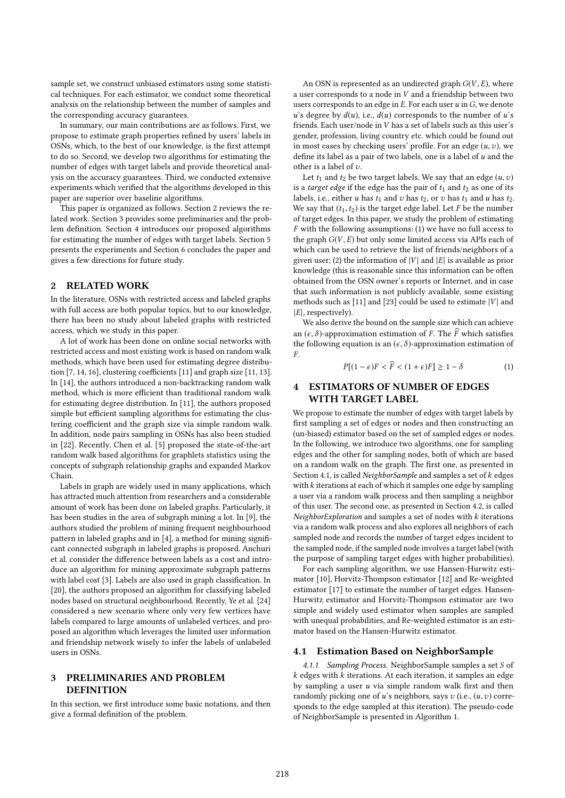sample set, we construct unbiased estimators using some statistical techniques. For each estimator, we conduct some theoretical analysis on the relationship between the number of samples and the corresponding accuracy guarantees.

In summary, our main contributions are as follows. First, we propose to estimate graph properties refined by users' labels in OSNs, which, to the best of our knowledge, is the first attempt to do so. Second, we develop two algorithms for estimating the number of edges with target labels and provide theoretical analysis on the accuracy guarantees. Third, we conducted extensive experiments which verified that the algorithms developed in this paper are superior over baseline algorithms.

This paper is organized as follows. Section 2 reviews the related work. Section 3 provides some preliminaries and the problem definition. Section 4 introduces our proposed algorithms for estimating the number of edges with target labels. Section 5 presents the experiments and Section 6 concludes the paper and gives a few directions for future study.

# 2 RELATED WORK

In the literature, OSNs with restricted access and labeled graphs with full access are both popular topics, but to our knowledge, there has been no study about labeled graphs with restricted access, which we study in this paper.

A lot of work has been done on online social networks with restricted access and most existing work is based on random walk methods, which have been used for estimating degree distribution [7, 14, 16], clustering coefficients [11] and graph size [11, 13]. In [14], the authors introduced a non-backtracking random walk method, which is more efficient than traditional random walk for estimating degree distribution. In [11], the authors proposed simple but efficient sampling algorithms for estimating the clustering coefficient and the graph size via simple random walk. In addition, node pairs sampling in OSNs has also been studied in [22]. Recently, Chen et al. [5] proposed the state-of-the-art random walk based algorithms for graphlets statistics using the concepts of subgraph relationship graphs and expanded Markov Chain.

Labels in graph are widely used in many applications, which has attracted much attention from researchers and a considerable amount of work has been done on labeled graphs. Particularly, it has been studies in the area of subgraph mining a lot. In [9], the authors studied the problem of mining frequent neighbourhood pattern in labeled graphs and in [4], a method for mining significant connected subgraph in labeled graphs is proposed. Anchuri et al. consider the difference between labels as a cost and introduce an algorithm for mining approximate subgraph patterns with label cost [3]. Labels are also used in graph classification. In [20], the authors proposed an algorithm for classifying labeled nodes based on structural neighbourhood. Recently, Ye et al. [24] considered a new scenario where only very few vertices have labels compared to large amounts of unlabeled vertices, and proposed an algorithm which leverages the limited user information and friendship network wisely to infer the labels of unlabeled users in OSNs.

#### 3 PRELIMINARIES AND PROBLEM **DEFINITION**

In this section, we first introduce some basic notations, and then give a formal definition of the problem.

An OSN is represented as an undirected graph  $G(V, E)$ , where a user corresponds to a node in  $V$  and a friendship between two users corresponds to an edge in  $E$ . For each user  $u$  in  $G$ , we denote u's degree by  $d(u)$ , i.e.,  $d(u)$  corresponds to the number of u's friends. Each user/node in V has a set of labels such as this user's gender, profession, living country etc. which could be found out in most cases by checking users' profile. For an edge  $(u, v)$ , we define its label as a pair of two labels, one is a label of  $u$  and the other is a label of  $v$ .

Let  $t_1$  and  $t_2$  be two target labels. We say that an edge  $(u, v)$ is a *target edge* if the edge has the pair of  $t_1$  and  $t_2$  as one of its labels, i.e., either u has  $t_1$  and v has  $t_2$ , or v has  $t_1$  and u has  $t_2$ . We say that  $(t_1, t_2)$  is the target edge label. Let F be the number of target edges. In this paper, we study the problem of estimating  $F$  with the following assumptions: (1) we have no full access to the graph  $G(V, E)$  but only some limited access via APIs each of which can be used to retrieve the list of friends/neighbors of a given user; (2) the information of  $|V|$  and  $|E|$  is available as prior knowledge (this is reasonable since this information can be often obtained from the OSN owner's reports or Internet, and in case that such information is not publicly available, some existing methods such as [11] and [23] could be used to estimate  $|V|$  and  $|E|$ , respectively).

We also derive the bound on the sample size which can achieve an  $(\epsilon, \delta)$ -approximation estimation of F. The  $\widehat{F}$  which satisfies the following equation is an  $(\epsilon, \delta)$ -approximation estimation of  $F$  .

$$
P[(1 - \epsilon)F < \widehat{F} < (1 + \epsilon)F] \ge 1 - \delta \tag{1}
$$

#### **ESTIMATORS OF NUMBER OF EDGES** WITH TARGET LABEL

We propose to estimate the number of edges with target labels by first sampling a set of edges or nodes and then constructing an (un-biased) estimator based on the set of sampled edges or nodes. In the following, we introduce two algorithms, one for sampling edges and the other for sampling nodes, both of which are based on a random walk on the graph. The first one, as presented in Section 4.1, is called NeighborSample and samples a set of  $k$  edges with  $k$  iterations at each of which it samples one edge by sampling a user via a random walk process and then sampling a neighbor of this user. The second one, as presented in Section 4.2, is called NeighborExploration and samples a set of nodes with k iterations via a random walk process and also explores all neighbors of each sampled node and records the number of target edges incident to the sampled node, if the sampled node involves a target label (with the purpose of sampling target edges with higher probabilities).

For each sampling algorithm, we use Hansen-Hurwitz estimator [10], Horvitz-Thompson estimator [12] and Re-weighted estimator [17] to estimate the number of target edges. Hansen-Hurwitz estimator and Horvitz-Thompson estimator are two simple and widely used estimator when samples are sampled with unequal probabilities, and Re-weighted estimator is an estimator based on the Hansen-Hurwitz estimator.

#### 4.1 Estimation Based on NeighborSample

4.1.1 Sampling Process. NeighborSample samples a set S of  $k$  edges with  $k$  iterations. At each iteration, it samples an edge by sampling a user  $u$  via simple random walk first and then randomly picking one of u's neighbors, says  $v$  (i.e.,  $(u, v)$  corresponds to the edge sampled at this iteration). The pseudo-code of NeighborSample is presented in Algorithm 1.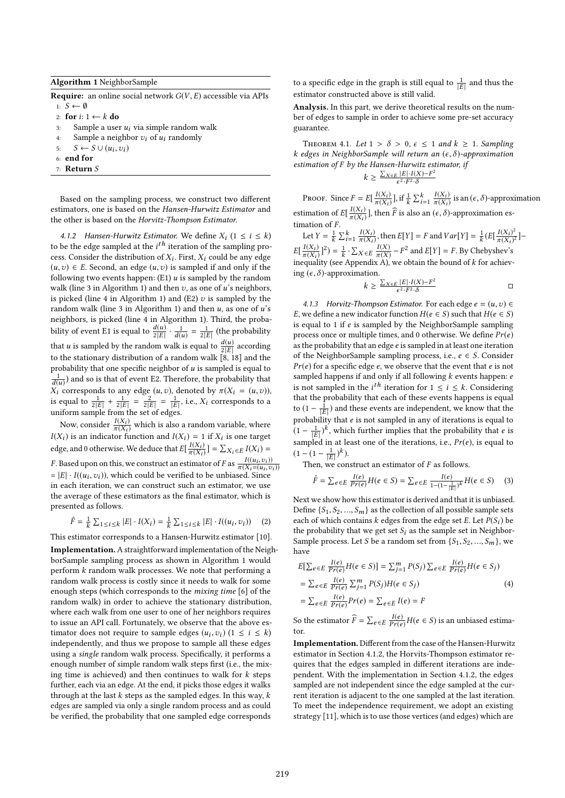Algorithm 1 NeighborSample

**Require:** an online social network  $G(V, E)$  accessible via APIs 1:  $S \leftarrow \emptyset$ 

2: for  $i: 1 \leftarrow k$  do 3: Sample a use

- 3: Sample a user  $u_i$  via simple random walk<br>4: Sample a neighbor  $v_i$  of  $u_i$  randomly
- 4: Sample a neighbor  $v_i$  of  $u_i$  randomly<br>5:  $S \leftarrow S \cup (u_i, v_i)$
- 5:  $S \leftarrow S \cup (u_i, v_i)$ <br>6: end for
- 6: end for
- 7: Return S

Based on the sampling process, we construct two different estimators, one is based on the Hansen-Hurwitz Estimator and the other is based on the Horvitz-Thompson Estimator.

4.1.2 Hansen-Hurwitz Estimator. We define  $X_i$  ( $1 \le i \le k$ )<br>he the edge sempled at the *i*<sup>th</sup> iteration of the sempling proto be the edge sampled at the  $i^{th}$  iteration of the sampling process. Consider the distribution of Y. First, Y. could be any edge. cess. Consider the distribution of  $X_i$ . First,  $X_i$  could be any edge  $(u, z)$   $\in$   $F$ . Second, an edge  $(u, z)$  is sampled if and only if the  $(u, v) \in E$ . Second, an edge  $(u, v)$  is sampled if and only if the following two events happen:  $(E1)$  *u* is sampled by the random walk (line 3 in Algorithm 1) and then  $v$ , as one of  $u$ 's neighbors, is picked (line 4 in Algorithm 1) and (E2)  $v$  is sampled by the random walk (line 3 in Algorithm 1) and then  $u$ , as one of  $u$ 's neighbors, is picked (line 4 in Algorithm 1). Third, the probability of event E1 is equal to  $\frac{d(u)}{2|E|} \cdot \frac{1}{d(u)}$  $\frac{1}{d(u)} = \frac{1}{2|E|}$  (the probability that  $u$  is sampled by the random walk is equal to  $\frac{d(u)}{2|E|}$  according<br>to the stationary distribution of a random walk [8, 18] and the to the stationary distribution of a random walk  $\begin{bmatrix} 8, 18 \end{bmatrix}$  and the probability that one specific neighbor of  $u$  is sampled is equal to 1  $\frac{d(u)}{dt(u)}$  and so is that of event E2. Therefore, the probability that  $\frac{d(u)}{dt}$  corresponds to any edge  $(u, v)$  denoted by  $\pi(X_i = (u, v))$  $\overline{X_i}$  corresponds to any edge  $(u, v)$ , denoted by  $\pi(X_i = (u, v))$ , is equal to  $\frac{1}{2|E|} + \frac{1}{2|E|} = \frac{2}{2|E|} = \frac{1}{|E|}$ , i.e.,  $X_i$  corresponds to a uniform sample from the set of edges is equal to  $\frac{1}{2|E|} + \frac{1}{2|E|} = \frac{2}{2|E|} = \frac{1}{|E|}$ , i.e.,  $X_i$  corresponds to a uniform sample from the set of edges.

Now, consider  $\frac{I(X_i)}{\pi(X_i)}$  $\frac{I(X_i)}{\pi(X_i)}$  which is also a random variable, where<br>or function and  $I(X_i) = 1$  if  $X_i$  is one target  $I(X_i)$  is an indicator function and  $I(X_i) = 1$  if  $X_i$  is one target edge, and 0 otherwise. We deduce that  $E[\frac{I(X_i)}{\pi(X_i)}]$  $\frac{I(X_i)}{\pi(X_i)}$  =  $\sum_{i} X_i \in E$   $I(X_i) =$ *F*. Based upon on this, we construct an estimator of *F* as  $\frac{I((u_i, v_i))}{\pi(X_i = (u_i, v_i))}$  $\pi(X_i=(u_i,v_i))$ <br>sed Since  $= |E| \cdot I((u_i, v_i))$ , which could be verified to be unbiased. Since in each iteration, we can construct such an estimator, we use the average of these estimators as the final estimator, which is presented as follows.

$$
\hat{F} = \frac{1}{k} \sum_{1 \le i \le k} |E| \cdot I(X_i) = \frac{1}{k} \sum_{1 \le i \le k} |E| \cdot I((u_i, v_i)) \quad (2)
$$

k k This estimator corresponds to a Hansen-Hurwitz estimator [10]. Implementation.A straightforward implementation of the NeighborSample sampling process as shown in Algorithm 1 would perform k random walk processes. We note that performing a random walk process is costly since it needs to walk for some enough steps (which corresponds to the mixing time [6] of the random walk) in order to achieve the stationary distribution, where each walk from one user to one of her neighbors requires to issue an API call. Fortunately, we observe that the above estimator does not require to sample edges  $(u_i, v_i)$   $(1 \le i \le k)$ <br>independently and thus we propose to sample all these edges independently, and thus we propose to sample all these edges using a single random walk process. Specifically, it performs a enough number of simple random walk steps first (i.e., the mixing time is achieved) and then continues to walk for  $k$  steps further, each via an edge. At the end, it picks those edges it walks through at the last  $k$  steps as the sampled edges. In this way,  $k$ edges are sampled via only a single random process and as could be verified, the probability that one sampled edge corresponds

to a specific edge in the graph is still equal to  $\frac{1}{15}$  $\frac{1}{|E|}$  and thus the estimator constructed above is still valid.

Analysis. In this part, we derive theoretical results on the number of edges to sample in order to achieve some pre-set accuracy guarantee.

THEOREM 4.1. Let  $1 > \delta > 0$ ,  $\epsilon \leq 1$  and  $k \geq 1$ . Sampling k edges in NeighborSample will return an  $(\epsilon, \delta)$ -approximation estimation of F by the Hansen-Hurwitz estimator, if<br> $\sum_{X \in E} |E| \cdot I(X) - F^2$  $k \geq \frac{\sum_{X \in E} |E| \cdot I(X) - F^2}{\epsilon^2 \cdot F^2 \cdot \delta}$  $\epsilon^2 \cdot F^2 \cdot \delta$  $\frac{1}{2}$   $\frac{1}{2}$ 

PROOF. Since  $F = E\left[\frac{I(X_i)}{\pi(X_i)}\right]$  $\overline{\pi(X_i)}$ ], if  $\frac{1}{t}$  $\frac{1}{k} \sum_{i=1}^{k} \frac{I(X_i)}{\pi(X_i)}$  $\frac{I(X_i)}{\pi(X_i)}$  is an  $(\epsilon, \delta)$ -approximation estimation of  $E\left[\frac{I(X_i)}{\pi(X_i)}\right]$  $\frac{I(X_i)}{\pi(X_i)}$ ], then  $\widehat{F}$  is also an  $(\epsilon, \delta)$ -approximation es-

timation of  $F$ .<br>Let  $V = \frac{1}{2}$ . Let  $Y = \frac{1}{k}$  $\frac{1}{k} \sum_{i=1}^{k} \frac{I(X_i)}{\pi(X_i)}$  $\frac{I(X_i)}{\pi(X_i)}$ , then  $E[Y] = F$  and  $Var[Y] = \frac{1}{k}$  $\frac{1}{k} \left( E \left[ \frac{I(X_i)^2}{\pi(X_i)} \right] \right)$  $\frac{I(X_i)^2}{\pi(X_i)^2}$  $E\left[\frac{I(X_i)}{\pi(X_i)}\right]$  $\frac{I(X_i)}{\pi(X_i)}$ ]<sup>2</sup>) =  $\frac{1}{k}$ <br>equality (see k  $\cdot \sum_{X \in E} \frac{I(X)}{\pi(X)}$  $\frac{I(X)}{\pi(X)} - F^2$  and  $E[Y] = F$ . By Chebyshev's<br>  $E[X] = F$  and  $E[Y] = F$ . By Chebyshev's inequality (see Appendix A), we obtain the bound of k for achiev-<br>ing  $(c, \delta)$ -approximation ing  $(\epsilon, \delta)$ -approximation.

$$
k \geq \frac{\sum_{X \in E} |E| \cdot I(X) - F^2}{\epsilon^2 \cdot F^2 \cdot \delta} \qquad \qquad \Box
$$

4.1.3 Horvitz-Thompson Estimator. For each edge  $e = (u, v) \in$ E, we define a new indicator function  $H(e \in S)$  such that  $H(e \in S)$ is equal to 1 if  $e$  is sampled by the NeighborSample sampling process once or multiple times, and 0 otherwise. We define  $Pr(e)$ as the probability that an edge e is sampled in at least one iteration of the NeighborSample sampling process, i.e.,  $e \in S$ . Consider  $Pr(e)$  for a specific edge  $e$ , we observe that the event that  $e$  is not sampled happens if and only if all following  $k$  events happen:  $e$ is not sampled in the *i*<sup>th</sup> iteration for  $1 \le i \le k$ . Considering that the probability that each of these events happens is equal that the probability that each of these events happens is equal to  $(1 - \frac{1}{|E|})$  and these events are independent, we know that the  $\frac{1}{|E|}$  and these events are independent, we know that the<br>probability that *e* is not sampled in any of iterations is equal to<br> $\frac{1}{2}$  is which further implies that the probability that *e* is  $(1 - \frac{1}{|E|})^k$ , which further implies that the probability that e is  $\left(1 - \frac{1}{|E|}\right)^r$ , which further implies that the probability that e is<br>sampled in at least one of the iterations, i.e.,  $Pr(e)$ , is equal to<br> $\left(1 - \left(1 - \frac{1}{|E|}\right)^k\right)$ .  $\frac{1}{|E|}$ )<sup>k</sup>).<br>We con

Then, we construct an estimator of  $F$  as follows.

$$
\hat{F} = \sum_{e \in E} \frac{I(e)}{Pr(e)} H(e \in S) = \sum_{e \in E} \frac{I(e)}{1 - (1 - \frac{1}{|E|})^k} H(e \in S) \tag{3}
$$

Next we show how this estimator is derived and that it is unbiased. Define  $\{S_1, S_2, ..., S_m\}$  as the collection of all possible sample sets each of which contains  $k$  edges from the edge set  $E$ . Let  $P(S_i)$  be the probability that we get set  $S_i$  as the sample set in Neighbor-Sample process. Let S be a random set from  $\{S_1, S_2, ..., S_m\}$ , we have

$$
E[\sum_{e \in E} \frac{I(e)}{Pr(e)} H(e \in S)] = \sum_{j=1}^{m} P(S_j) \sum_{e \in E} \frac{I(e)}{Pr(e)} H(e \in S_j)
$$
  
= 
$$
\sum_{e \in E} \frac{I(e)}{Pr(e)} \sum_{j=1}^{m} P(S_j) H(e \in S_j)
$$
  
= 
$$
\sum_{e \in E} \frac{I(e)}{Pr(e)} Pr(e) = \sum_{e \in E} I(e) = F
$$
 (4)

So the estimator  $\widehat{F} = \sum_{e \in E} \frac{I(e)}{Pr(e)}$  $\frac{I(e)}{Pr(e)}H(e \in S)$  is an unbiased estimator.

Implementation. Different from the case of the Hansen-Hurwitz estimator in Section 4.1.2, the Horvits-Thompson estimator requires that the edges sampled in different iterations are independent. With the implementation in Section 4.1.2, the edges sampled are not independent since the edge sampled at the current iteration is adjacent to the one sampled at the last iteration. To meet the independence requirement, we adopt an existing strategy [11], which is to use those vertices (and edges) which are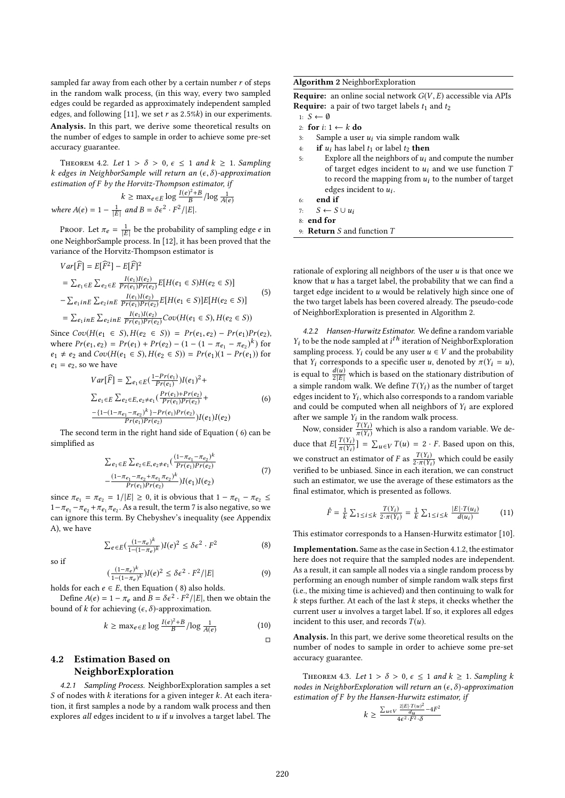sampled far away from each other by a certain number  $r$  of steps in the random walk process, (in this way, every two sampled edges could be regarded as approximately independent sampled edges, and following [11], we set r as  $2.5%$ ) in our experiments.

Analysis. In this part, we derive some theoretical results on the number of edges to sample in order to achieve some pre-set accuracy guarantee.

THEOREM 4.2. Let  $1 > \delta > 0$ ,  $\epsilon \le 1$  and  $k \ge 1$ . Sampling k edges in NeighborSample will return an  $(\epsilon, \delta)$ -approximation estimation of F by the Horvitz-Thompson estimator, if

$$
k \ge \max_{e \in E} \log \frac{I(e)^2 + B}{B} / \log \frac{1}{A(e)}
$$
  
where  $A(e) = 1 - \frac{1}{|E|}$  and  $B = \delta \epsilon^2 \cdot F^2 / |E|$ .

Proof. Let  $\pi_e = \frac{1}{|E|}$  $\frac{1}{|E|}$  be the probability of sampling edge *e* in<br>process In [12] it has been proved that the one NeighborSample process. In [12], it has been proved that the variance of the Horvitz-Thompson estimator is

$$
Var[\widehat{F}] = E[\widehat{F}^{2}] - E[\widehat{F}]^{2}
$$
  
=  $\sum_{e_{1} \in E} \sum_{e_{2} \in E} \frac{I(e_{1})I(e_{2})}{Pr(e_{1})Pr(e_{2})} E[H(e_{1} \in S)H(e_{2} \in S)]$   
-  $\sum_{e_{1}inE} \sum_{e_{2}inE} \frac{I(e_{1})I(e_{2})}{Pr(e_{1})Pr(e_{2})} E[H(e_{1} \in S)] E[H(e_{2} \in S)]$   
=  $\sum_{e_{1}inE} \sum_{e_{2}inE} \frac{I(e_{1})I(e_{2})}{Pr(e_{1})Pr(e_{2})} Cov(H(e_{1} \in S), H(e_{2} \in S))$ 

Since  $Cov(H(e_1 \in S), H(e_2 \in S)) = Pr(e_1, e_2) - Pr(e_1)Pr(e_2)$ ,<br>where  $Pr(e_1, e_2) = Pr(e_1) + Pr(e_2) - (1 - (1 - \pi - \pi - \pi))k$  for where  $Pr(e_1, e_2) = Pr(e_1) + Pr(e_2) - (1 - (1 - \pi_{e_1} - \pi_{e_2})^k)$  for<br>ex  $\pm$  eq and  $Cov(H(e_1, \epsilon, S)$   $H(e_2, \epsilon, S) - Pr(e_1)(1 - Pr(e_2))$  for  $e_1 \neq e_2$  and  $Cov(H(e_1 \in S), H(e_2 \in S)) = Pr(e_1)(1 - Pr(e_1))$  for  $e_1 = e_2$ , so we have

$$
Var[\widehat{F}] = \sum_{e_1 \in E} \left( \frac{1 - Pr(e_1)}{Pr(e_1)} \right) I(e_1)^2 +
$$
  
\n
$$
\sum_{e_1 \in E} \sum_{e_2 \in E, e_2 \neq e_1} \left( \frac{Pr(e_1) + Pr(e_2)}{Pr(e_1)Pr(e_2)} \right) +
$$
  
\n
$$
\frac{-\{1 - (1 - \pi_{e_1} - \pi_{e_2})^k\} - Pr(e_1)Pr(e_2)}{Pr(e_1)Pr(e_2)} I(e_1) I(e_2)
$$
 (6)

 $Pr(e_1)Pr(e_2) \longrightarrow P(e_1)P(e_2)$ <br>The second term in the right hand side of Equation (6) can be simplified as

$$
\sum_{e_1 \in E} \sum_{e_2 \in E, e_2 \neq e_1} \left( \frac{(1 - \pi_{e_1} - \pi_{e_2})^k}{Pr(e_1)Pr(e_2)} - \frac{(1 - \pi_{e_1} - \pi_{e_2} + \pi_{e_1} \pi_{e_2})^k}{Pr(e_1)Pr(e_2)} \right) I(e_1) I(e_2)
$$
\n(7)

since  $\pi_{e_1} = \pi_{e_2} = 1/|E| \ge 0$ , it is obvious that  $1 - \pi_{e_1} - \pi_{e_2} \le$  $1 - \pi_{e_1} - \pi_{e_2} + \pi_{e_1} \pi_{e_2}$ . As a result, the term 7 is also negative, so we can ignore this term. By Chebyshav's inequality (see Annendix can ignore this term. By Chebyshev's inequality (see Appendix A), we have

$$
\sum_{e \in E} \left( \frac{(1 - \pi_e)^k}{1 - (1 - \pi_e)^k} \right) I(e)^2 \le \delta \epsilon^2 \cdot F^2 \tag{8}
$$

so if

$$
\left(\frac{(1-\pi_e)^k}{1-(1-\pi_e)^k}\right)I(e)^2 \le \delta\epsilon^2 \cdot F^2/|E| \tag{9}
$$

holds for each  $e \in E$ , then Equation (8) also holds.<br>Define  $A(e) = 1 - \pi$ , and  $B = \delta e^2$ ,  $E^2 / |E|$ , then

Define  $A(e) = 1 - \pi_e$  and  $B = \delta \epsilon^2 \cdot F^2 / |E|$ , then we obtain the bound of k for achieving  $(\epsilon, \delta)$ -approximation.

$$
k \ge \max_{e \in E} \log \frac{I(e)^2 + B}{B} / \log \frac{1}{A(e)}
$$
(10)

# 4.2 Estimation Based on NeighborExploration

4.2.1 Sampling Process. NeighborExploration samples a set S of nodes with  $k$  iterations for a given integer  $k$ . At each iteration, it first samples a node by a random walk process and then explores all edges incident to  $u$  if  $u$  involves a target label. The

Algorithm 2 NeighborExploration

**Require:** an online social network  $G(V, E)$  accessible via APIs **Require:** a pair of two target labels  $t_1$  and  $t_2$ 

- 1:  $S$  ← Ø
- 2: for  $i: 1 \leftarrow k$  do 3: Sample a use
- 3: Sample a user  $u_i$  via simple random walk<br>4: **if**  $u_i$  has label  $t_1$  or label  $t_2$  **then**
- 4: **if**  $u_i$  has label  $t_1$  or label  $t_2$  **then**<br>5: Explore all the neighbors of  $u_i$  a
- Explore all the neighbors of  $u_i$  and compute the number of target edges incident to  $u_i$  and we use function  $T$ to record the mapping from  $u_i$  to the number of target edges incident to  $u_i$ .
- 6: end if

7:  $S$  ←  $S \cup u_i$ 

8: end for

9: Return S and function T

rationale of exploring all neighbors of the user  $u$  is that once we know that  $u$  has a target label, the probability that we can find a target edge incident to  $u$  would be relatively high since one of the two target labels has been covered already. The pseudo-code of NeighborExploration is presented in Algorithm 2.

4.2.2 Hansen-Hurwitz Estimator. We define a random variable  $Y_i$  to be the node sampled at  $i^{th}$  iteration of NeighborExploration<br>sampling process  $Y_i$  could be any user  $u \in V$  and the probability sampling process.  $Y_i$  could be any user  $u \in V$  and the probability that  $Y_i$  corresponds to a specific user u, denoted by  $\pi(Y_i = u)$ , is equal to  $\frac{d(u)}{2|E|}$  which is based on the stationary distribution of a simple random walk. We define  $T(Y_i)$  as the number of target a simple random walk. We define  $T(Y_i)$  as the number of target edges incident to  $Y_i$ , which also corresponds to a random variable<br>and could be computed when all neighbors of  $Y_i$  are explored and could be computed when all neighbors of  $Y_i$  are explored after we sample  $Y_i$  in the random walk process.

Now, consider  $\frac{T(Y_i)}{\pi(Y_i)}$  $\frac{T(Y_i)}{\pi(Y_i)}$  which is also a random variable. We deduce that  $E\left[\frac{T(Y_i)}{\pi(Y_i)}\right]$  $\frac{T(Y_i)}{\pi(Y_i)}$ ] =  $\sum_{u \in V} T(u) = 2 \cdot F$ . Based upon on this, we construct an estimator of F as  $\frac{T(Y_i)}{2 \cdot \pi(Y_i)}$  which could be easily verified to be unbiased. Since in each iteration, we can construct verified to be unbiased. Since in each iteration, we can construct such an estimator, we use the average of these estimators as the final estimator, which is presented as follows.

$$
\hat{F} = \frac{1}{k} \sum_{1 \le i \le k} \frac{T(Y_i)}{2 \cdot \pi(Y_i)} = \frac{1}{k} \sum_{1 \le i \le k} \frac{|E| \cdot T(u_i)}{d(u_i)} \tag{11}
$$

This estimator corresponds to a Hansen-Hurwitz estimator [10].

Implementation. Same as the case in Section 4.1.2, the estimator here does not require that the sampled nodes are independent. As a result, it can sample all nodes via a single random process by performing an enough number of simple random walk steps first (i.e., the mixing time is achieved) and then continuing to walk for  $k$  steps further. At each of the last  $k$  steps, it checks whether the current user u involves a target label. If so, it explores all edges incident to this user, and records  $T(u)$ .

Analysis. In this part, we derive some theoretical results on the number of nodes to sample in order to achieve some pre-set accuracy guarantee.

THEOREM 4.3. Let  $1 > \delta > 0$ ,  $\epsilon \le 1$  and  $k \ge 1$ . Sampling k nodes in NeighborExploration will return an  $(\epsilon, \delta)$ -approximation estimation of F by the Hansen-Hurwitz estimator, if

$$
k \ge \frac{\sum_{u \in V} \frac{2|E| \cdot T(u)^2}{d_u} - 4F^2}{4\epsilon^2 \cdot F^2 \cdot \delta}
$$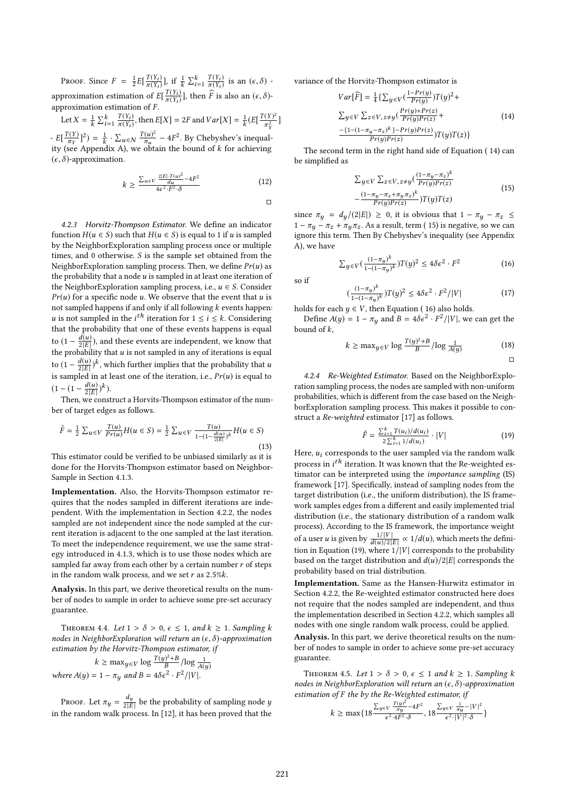PROOF. Since  $F = \frac{1}{2}E\left[\frac{T(Y_i)}{\pi(Y_i)}\right]$  $\frac{\pi(Y_i)}{\pi(Y_i)}$ ], if  $\frac{1}{k} \sum_{i=1}^{k} \frac{T(Y_i)}{\pi(Y_i)}$ approximation estimation of  $E\left[\frac{T(Y_i)}{\pi(Y_i)}\right]$  $rac{T(Y_i)}{\pi(Y_i)}$  is an  $(\epsilon, \delta)$  - $\frac{T(Y_i)}{\pi(Y_i)}$ ], then  $\widehat{F}$  is also an  $(\epsilon, \delta)$ approximation estimation of  $F$ .

Let  $X = \frac{1}{k} \sum_{i=1}^{k} \frac{T(Y_i)}{\pi(Y_i)}$  $E\left[\frac{T(Y)}{\pi_Y}\right]^2 = \frac{1}{k} \cdot \sum_{u \in N} \frac{T(u)^2}{\pi_u} - 4F^2$ . By Chebyshev's inequality (see Appendix A) we obtain the bound of k for achieving  $\frac{T(Y_i)}{\pi(Y_i)}$ , then  $E[X] = 2F$  and  $Var[X] = \frac{1}{k} (E[\frac{T(Y)^2}{\pi_Y^2}]$  $\frac{1}{2}$ ]  $]^{2}) = \frac{1}{k}$ .<br>IC  $\cdot \sum_{u \in N} \frac{T(u)^2}{\pi_u}$ <br>v A) we obt  $\frac{f(u)^2}{\pi_u}$  – 4F<sup>2</sup>. By Chebyshev's inequal-<br>obtain the bound of *k* for achieving ity (see Appendix A), we obtain the bound of k for achieving  $(e, \delta)$ -approximation  $(\epsilon, \delta)$ -approximation.

$$
k \ge \frac{\sum_{u \in V} \frac{2|E| \cdot T(u)^2}{d_u} - 4F^2}{4\epsilon^2 \cdot F^2 \cdot \delta} \tag{12}
$$

□

4.2.3 Horvitz-Thompson Estimator. We define an indicator function  $H(u \in S)$  such that  $H(u \in S)$  is equal to 1 if u is sampled by the NeighborExploration sampling process once or multiple times, and 0 otherwise. S is the sample set obtained from the NeighborExploration sampling process. Then, we define  $Pr(u)$  as the probability that a node  $u$  is sampled in at least one iteration of the NeighborExploration sampling process, i.e.,  $u \in S$ . Consider  $Pr(u)$  for a specific node u. We observe that the event that u is not sampled happens if and only if all following  $k$  events happen: u is not sampled in the *i*<sup>th</sup> iteration for  $1 \le i \le k$ . Considering that the probability that one of these events happens is equal that the probability that one of these events happens is equal to  $(1 - \frac{d(u)}{2|E|})$ , and these events are independent, we know that the probability that u is not sampled in any of iterations is equal the probability that  $u$  is not sampled in any of iterations is equal to  $(1 - \frac{d(u)}{2|E|})^k$ , which further implies that the probability that u<br>is sampled in at least one of the iteration, i.e.,  $Pr(u)$  is equal to is sampled in at least one of the iteration, i.e.,  $Pr(u)$  is equal to  $(1 - (1 - \frac{d(u)}{2|E|})^k).$ <br>Then we const

Then, we construct a Horvits-Thompson estimator of the number of target edges as follows.

$$
\hat{F} = \frac{1}{2} \sum_{u \in V} \frac{T(u)}{Pr(u)} H(u \in S) = \frac{1}{2} \sum_{u \in V} \frac{T(u)}{1 - (1 - \frac{d(u)}{2|E|})^k} H(u \in S)
$$
\n(13)

This estimator could be verified to be unbiased similarly as it is done for the Horvits-Thompson estimator based on Neighbor-Sample in Section 4.1.3.

Implementation. Also, the Horvits-Thompson estimator requires that the nodes sampled in different iterations are independent. With the implementation in Section 4.2.2, the nodes sampled are not independent since the node sampled at the current iteration is adjacent to the one sampled at the last iteration. To meet the independence requirement, we use the same strategy introduced in 4.1.3, which is to use those nodes which are sampled far away from each other by a certain number  $r$  of steps in the random walk process, and we set  $r$  as  $2.5\%$  $k$ .

Analysis. In this part, we derive theoretical results on the number of nodes to sample in order to achieve some pre-set accuracy guarantee.

THEOREM 4.4. Let  $1 > \delta > 0$ ,  $\epsilon \leq 1$ , and  $k \geq 1$ . Sampling k nodes in NeighborExploration will return an  $(\epsilon, \delta)$ -approximation estimation by the Horvitz-Thompson estimator, if

$$
k \ge \max_{y \in V} \log \frac{T(y)^2 + B}{B} / \log \frac{1}{A(y)}
$$
  
where  $A(y) = 1 - \pi y$  and  $B = 4\delta \epsilon^2 \cdot F^2 / |V|$ .

PROOF. Let  $\pi_y = \frac{dy}{2|E|}$  be the probability of sampling node y in the random walk process. In [12], it has been proved that the variance of the Horvitz-Thompson estimator is

$$
Var\left[\widehat{F}\right] = \frac{1}{4} \left\{ \sum_{y \in V} \left( \frac{1 - Pr(y)}{Pr(y)} \right) T(y)^2 + \right. \\
\sum_{y \in V} \sum_{z \in V, z \neq y} \left( \frac{Pr(y) + Pr(z)}{Pr(y)Pr(z)} + \right. \\
\left. \frac{-\left\{1 - (1 - \pi_y - \pi_z)^k\right\} - Pr(y)Pr(z)}{Pr(y)Pr(z)} \right) T(y) T(z) \right\}
$$
\n(14)

 $Pr(y)Pr(z)$   $Pr(z)$   $Pr(z)$   $Pr(z)$   $Pr(z)$   $Pr(z)$   $Pr(z)$   $Pr(z)$   $Pr(z)$   $Pr(z)$   $Pr(z)$   $Pr(z)$   $Pr(z)$   $Pr(z)$   $Pr(z)$   $Pr(z)$   $Pr(z)$   $Pr(z)$   $Pr(z)$   $Pr(z)$   $Pr(z)$   $Pr(z)$   $Pr(z)$   $Pr(z)$   $Pr(z)$   $Pr(z)$   $Pr(z)$   $Pr(z)$   $Pr(z)$   $Pr(z)$   $Pr(z)$   $Pr(z)$   $Pr(z)$   $Pr(z)$   $Pr(z)$   $Pr(z)$   $Pr$ be simplified as

$$
\sum y \in V \sum z \in V, z \neq y \left(\frac{(1 - \pi_y - \pi_z)^k}{Pr(y)Pr(z)} - \frac{(1 - \pi_y - \pi_z + \pi_y \pi_z)^k}{Pr(y)Pr(z)}\right) T(y) T(z)
$$
\n(15)

since  $\pi_y = d_y/(2|E|) \ge 0$ , it is obvious that  $1 - \pi_y - \pi_z \le 1 - \pi - \pi + \pi - \Lambda$ s a result term (15) is negative so we can  $1 - \pi_u - \pi_z + \pi_u \pi_z$ . As a result, term (15) is negative, so we can ignore this term. Then By Chebyshev's inequality (see Appendix A), we have

$$
\sum_{y \in V} \left( \frac{(1 - \pi_y)^k}{1 - (1 - \pi_y)^k} \right) T(y)^2 \le 4\delta \epsilon^2 \cdot F^2 \tag{16}
$$

so if

$$
\left(\frac{(1-\pi_y)^k}{1-(1-\pi_y)^k}\right)T(y)^2 \le 4\delta\epsilon^2 \cdot F^2/|V| \tag{17}
$$

holds for each  $y \in V$ , then Equation (16) also holds.<br>Define  $A(u) = 1 - \pi$  and  $B = 4\delta\epsilon^2$ ,  $E^2/|V|$  we

Define  $A(y) = 1 - \pi y$  and  $B = 4\delta \epsilon^2 \cdot F^2 / |V|$ , we can get the bound of  $k$ .

$$
k \ge \max_{y \in V} \log \frac{T(y)^2 + B}{B} / \log \frac{1}{A(y)}
$$
(18)

4.2.4 Re-Weighted Estimator. Based on the NeighborExploration sampling process, the nodes are sampled with non-uniform probabilities, which is different from the case based on the NeighborExploration sampling process. This makes it possible to construct a Re-weighted estimator [17] as follows.

$$
\hat{F} = \frac{\sum_{i=1}^{k} T(u_i)/d(u_i)}{2\sum_{i=1}^{k} 1/d(u_i)} \cdot |V|
$$
\n(19)

 $\frac{2 \sum_{i=1}^{n} 1/a(u_i)}{2 \sum_{i=1}^{n} 1/a(u_i)}$ <br>Here,  $u_i$  corresponds to the user sampled via the random walk process in  $i^{th}$  iteration. It was known that the Re-weighted es-<br>timeter can be interpreted using the *importance sampling* (IS) timator can be interpreted using the importance sampling (IS) framework [17]. Specifically, instead of sampling nodes from the target distribution (i.e., the uniform distribution), the IS framework samples edges from a different and easily implemented trial distribution (i.e., the stationary distribution of a random walk process). According to the IS framework, the importance weight of a user u is given by  $\frac{1/|V|}{d(u)/2|E|} \propto 1/d(u)$ , which meets the definition in Equation (19), where  $1/|V|$  corresponds to the probability tion in Equation (19), where  $1/|V|$  corresponds to the probability based on the target distribution and  $d(u)/2|E|$  corresponds the probability based on trial distribution.

Implementation. Same as the Hansen-Hurwitz estimator in Section 4.2.2, the Re-weighted estimator constructed here does not require that the nodes sampled are independent, and thus the implementation described in Section 4.2.2, which samples all nodes with one single random walk process, could be applied.

Analysis. In this part, we derive theoretical results on the number of nodes to sample in order to achieve some pre-set accuracy guarantee.

THEOREM 4.5. Let  $1 > \delta > 0$ ,  $\epsilon \leq 1$  and  $k \geq 1$ . Sampling k nodes in NeighborExploration will return an  $(\epsilon, \delta)$ -approximation estimation of F the by the Re-Weighted estimator, if

$$
k \ge \max\{18\frac{\sum_{y\in V} \frac{T(y)^2}{\pi y} - 4F^2}{\epsilon^2 \cdot 4F^2 \cdot \delta}, 18\frac{\sum_{y\in V} \frac{1}{\pi y} - |V|^2}{\epsilon^2 \cdot |V|^2 \cdot \delta}\}
$$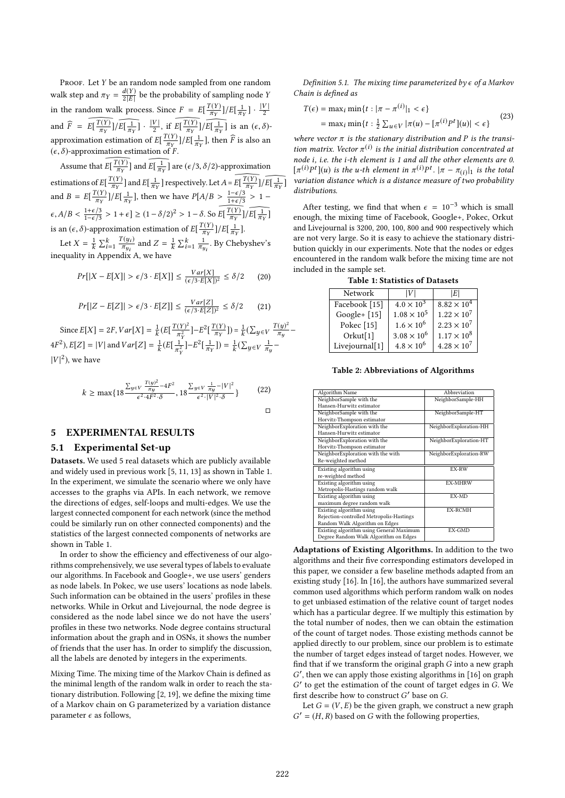PROOF. Let Y be an random node sampled from one random walk step and  $\pi_Y = \frac{d(Y)}{2|E|}$  be the probability of sampling node Y  $2|E|$ in the random walk process. Since  $F = E\left[\frac{T(Y)}{\pi_Y}\right]/E\left[\frac{1}{\pi_Y}\right] \cdot \frac{|V|}{2}$ and  $\widehat{F} = \widehat{E[\frac{T(Y)}{\pi_Y}]} \widehat{/E[\frac{1}{\pi_Y}]} \cdot \frac{|V|}{2}$ , if  $\widehat{E[\frac{T(Y)}{\pi_Y}]} \widehat{/E[\frac{1}{\pi_Y}]}$  is an  $\frac{1}{\pi_Y}$ ]  $\cdot$   $\frac{|V|}{2}$ , if  $E\left[\frac{T(Y)}{\pi_Y}\right]/E\left[\frac{1}{\pi_Y}\right]$  $\frac{1}{\pi_Y}$ ] is an  $(\epsilon, \delta)$ approximation estimation of  $E\left[\frac{T(Y)}{\pi_Y}\right] / E\left[\frac{1}{\pi}\right]$  $\frac{1}{\pi_Y}$ ], then  $\widehat{F}$  is also an  $(\epsilon, \delta)$ -approximation estimation of F.

Assume that  $E\left[\frac{T(Y)}{\pi_Y}\right]$  and  $\widehat{E\left[\frac{1}{\pi_Y}\right]}$  are  $(\epsilon/3, \delta/2)$ -approximation estimations of  $E\left[\frac{T(Y)}{\pi_Y}\right]$  and  $E\left[\frac{1}{\pi_Y}\right]$  $\frac{1}{\pi_Y}$ ] respectively. Let  $A = E\left[\frac{T(Y)}{\pi_Y}\right] / \widehat{E\left[\frac{1}{\pi_Y}\right]}$  $\mathbb{R}^n$ ] and  $B = E\left[\frac{T(Y)}{\pi_Y}\right] / E\left[\frac{1}{\pi}\right]$  $\frac{1}{\pi_Y}$ ], then we have  $P[A/B > \frac{1-\epsilon/3}{1+\epsilon/3}$  $\frac{\frac{1-\epsilon/3}{1+\epsilon/3}}{\sqrt{\epsilon}} > 1 \epsilon, A/B < \frac{1+\epsilon/3}{1-\epsilon/3} > 1+\epsilon \leq (1-\delta/2)^2 > 1-\delta.$  So  $\widetilde{E}[\frac{T(Y)}{\pi_Y}]/\widetilde{E}[\frac{1}{\pi_Y}]$  $\epsilon, A/B \leq \frac{1-\epsilon}{3} > 1+\epsilon$ ]  $\geq (1-\delta/2)^{-} > 1-\delta$ . So  $E[\frac{\tau(Y)}{\pi_Y}]/E[\frac{1}{\pi_Y}]$ <br>is an  $(\epsilon, \delta)$ -approximation estimation of  $E[\frac{T(Y)}{\pi_Y}]/E[\frac{1}{\pi_Y}]$ . ].

ູ້ Let  $X = \frac{1}{k}$  $\frac{1}{k} \sum_{i=1}^{k} \frac{T(y_i)}{\pi_{y_i}}$  Appendix  $\frac{\Gamma(y_i)}{\pi_{y_i}}$  and  $Z = \frac{1}{k}$ <br>div A we have  $\frac{1}{k} \sum_{i=1}^{k} \frac{1}{\pi_{i}}$ πyi . By Chebyshev's inequality in Appendix A, we have

$$
Pr[|X - E[X]| > \epsilon/3 \cdot E[X]] \le \frac{Var[X]}{(\epsilon/3 \cdot E[X])^2} \le \delta/2 \qquad (20)
$$

$$
Pr[|Z - E[Z]| > \epsilon/3 \cdot E[Z]] \le \frac{Var[Z]}{(\epsilon/3 \cdot E[Z])^2} \le \delta/2 \tag{21}
$$

Since  $E[X] = 2F$ ,  $Var[X] = \frac{1}{k}$  $\frac{1}{k} (E \left[ \frac{T(Y)^2}{\pi_Y^2} \right]$ π 2  $\frac{Y)^2}{Y}$ ]– $E^2 \left[ \frac{T(Y)}{\pi_Y} \right]$  $\left| {}\right\rangle =\frac{1}{\nu}$ k  $(\sum_{y \in V} \frac{T(y)^2}{\pi_y})$ πy −  $4F^2$ ,  $E[Z] = |V|$  and  $Var[Z] = \frac{1}{k}$  $\frac{1}{k} (E[\frac{1}{\pi \frac{3}{2}}$  $\frac{1}{2}$ ]– $E^2\left[\frac{1}{\pi}\right]$  $\mathbb{R}^n$  $]) = \frac{1}{k}$  $(\sum_{y\in V}\frac{1}{\pi}$ πy −  $|V|^2$ ), we have

$$
k \ge \max\{18\frac{\sum_{y\in V} \frac{T(y)^2}{\pi y} - 4F^2}{\epsilon^2 \cdot 4F^2 \cdot \delta}, 18\frac{\sum_{y\in V} \frac{1}{\pi y} - |V|^2}{\epsilon^2 \cdot |V|^2 \cdot \delta}\}\n\tag{22}
$$

5 EXPERIMENTAL RESULTS

#### 5.1 Experimental Set-up

Datasets. We used 5 real datasets which are publicly available and widely used in previous work [5, 11, 13] as shown in Table 1. In the experiment, we simulate the scenario where we only have accesses to the graphs via APIs. In each network, we remove the directions of edges, self-loops and multi-edges. We use the largest connected component for each network (since the method could be similarly run on other connected components) and the statistics of the largest connected components of networks are shown in Table 1.

In order to show the efficiency and effectiveness of our algorithms comprehensively, we use several types of labels to evaluate our algorithms. In Facebook and Google+, we use users' genders as node labels. In Pokec, we use users' locations as node labels. Such information can be obtained in the users' profiles in these networks. While in Orkut and Livejournal, the node degree is considered as the node label since we do not have the users' profiles in these two networks. Node degree contains structural information about the graph and in OSNs, it shows the number of friends that the user has. In order to simplify the discussion, all the labels are denoted by integers in the experiments.

Mixing Time. The mixing time of the Markov Chain is defined as the minimal length of the random walk in order to reach the stationary distribution. Following [2, 19], we define the mixing time of a Markov chain on G parameterized by a variation distance parameter  $\epsilon$  as follows,

Definition 5.1. The mixing time parameterized by  $\epsilon$  of a Markov Chain is defined as

$$
T(\epsilon) = \max_{i} \min\{t : |\pi - \pi^{(i)}|_1 < \epsilon\}
$$
  
=  $\max_{i} \min\{t : \frac{1}{2} \sum_{u \in V} |\pi(u) - [\pi^{(i)} P^t](u)| < \epsilon\}$  (23)

where vector  $\pi$  is the stationary distribution and P is the transition matrix Vector  $\pi^{(i)}$  is the initial distribution concentrated at tion matrix. Vector  $\pi^{(i)}$  is the initial distribution concentrated at node *i* i.e. the *i*-th element is 1 and all the other elements are 0. node i, i.e. the i-th element is 1 and all the other elements are 0.  $[\pi^{(i)}P^t](u)$  is the u-th element in  $\pi^{(i)}P^t$ .  $|\pi - \pi_{(i)}|$  is the total<br>variation distance which is a distance measure of two probability variation distance which is a distance measure of two probability distributions.

After testing, we find that when  $\epsilon = 10^{-3}$  which is small enough, the mixing time of Facebook, Google+, Pokec, Orkut and Livejournal is 3200, 200, 100, 800 and 900 respectively which are not very large. So it is easy to achieve the stationary distribution quickly in our experiments. Note that the nodes or edges encountered in the random walk before the mixing time are not included in the sample set.

Table 1: Statistics of Datasets

| Network               | IVI                  | IEI                  |
|-----------------------|----------------------|----------------------|
|                       |                      |                      |
| Facebook [15]         | $4.0 \times 10^{3}$  | $8.82 \times 10^{4}$ |
| Google+ $[15]$        | $1.08 \times 10^{5}$ | $1.22 \times 10^{7}$ |
| Pokec <sup>[15]</sup> | $1.6 \times 10^{6}$  | $2.23 \times 10^{7}$ |
| Orkut[1]              | $3.08\times10^6$     | $1.17 \times 10^{8}$ |
| Livejournal[1]        | $4.8 \times 10^{6}$  | $4.28 \times 10^{7}$ |
|                       |                      |                      |

Table 2: Abbreviations of Algorithms

| Algorithm Name                           | Abbreviation           |
|------------------------------------------|------------------------|
| NeighborSample with the                  | NeighborSample-HH      |
| Hansen-Hurwitz estimator                 |                        |
| NeighborSample with the                  | NeighborSample-HT      |
| Horvitz-Thompson estimator               |                        |
| NeighborExploration with the             | NeighborExploration-HH |
| Hansen-Hurwitz estimator                 |                        |
| NeighborExploration with the             | NeighborExploration-HT |
| Horvitz-Thompson estimator               |                        |
| NeighborExploration with the with        | NeighborExploration-RW |
| Re-weighted method                       |                        |
| Existing algorithm using                 | EX-RW                  |
| re-weighted method                       |                        |
| Existing algorithm using                 | <b>EX-MHRW</b>         |
| Metropolis-Hastings random walk          |                        |
| Existing algorithm using                 | EX-MD                  |
| maximum degree random walk               |                        |
| Existing algorithm using                 | <b>EX-RCMH</b>         |
| Rejection-controlled Metropolis-Hastings |                        |
| Random Walk Algorithm on Edges           |                        |
| Existing algorithm using General Maximum | EX-GMD                 |
| Degree Random Walk Algorithm on Edges    |                        |

Adaptations of Existing Algorithms. In addition to the two algorithms and their five corresponding estimators developed in this paper, we consider a few baseline methods adapted from an existing study [16]. In [16], the authors have summarized several common used algorithms which perform random walk on nodes to get unbiased estimation of the relative count of target nodes which has a particular degree. If we multiply this estimation by the total number of nodes, then we can obtain the estimation of the count of target nodes. Those existing methods cannot be applied directly to our problem, since our problem is to estimate the number of target edges instead of target nodes. However, we find that if we transform the original graph  $G$  into a new graph  $G'$  to get the estimation of the count of target edges in G. We<br>first describe how to construct  $G'$  base on  $G$ .  $\prime$ , then we can apply those existing algorithms in [16] on graph First describe how to construct  $G'$  base on G.<br>Let  $G = (V, F)$  be the given graph, we can

Let  $G = (V, E)$  be the given graph, we construct a new graph  $G^{\prime}=(H,R)$  based on  $G$  with the following properties,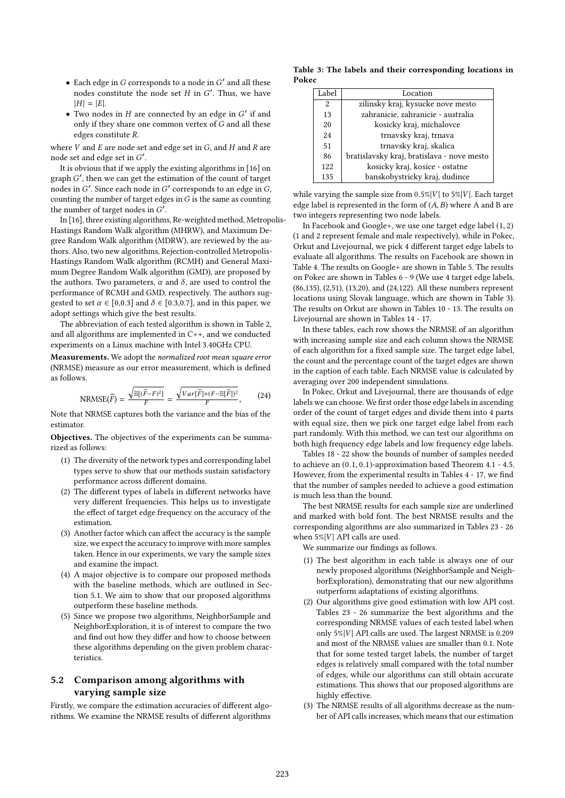- Each edge in G corresponds to a node in  $G'$  and all these nodes constitute the node set H in  $G'$ . Thus, we have nodes constitute the node set *H* in *G'*. Thus, we have  $|H| = |E|$ .
- Two nodes in *H* are connected by an edge in *G'* if and only if they share one common vertex of *G* and all these only if they share one common vertex of G and all these edges constitute R.

where  $V$  and  $E$  are node set and edge set in  $G$ , and  $H$  and  $R$  are node set and edge set in G'.

It is obvious that if we apply the existing algorithms in [16] on graph  $G'$ , then we can get the estimation of the count of target<br>nodes in  $G'$ . Since each node in  $G'$  corresponds to an edge in G nodes in G'. Since each node in G' corresponds to an edge in G, counting the number of target edges in G is the same as counting counting the number of target edges in  $G$  is the same as counting the number of target nodes in  $G'$ .<br>In [16] three existing algorithm

In [16], three existing algorithms, Re-weighted method, Metropolis-Hastings Random Walk algorithm (MHRW), and Maximum Degree Random Walk algorithm (MDRW), are reviewed by the authors. Also, two new algorithms, Rejection-controlled Metropolis-Hastings Random Walk algorithm (RCMH) and General Maximum Degree Random Walk algorithm (GMD), are proposed by the authors. Two parameters,  $\alpha$  and  $\delta$ , are used to control the performance of RCMH and GMD, respectively. The authors suggested to set  $\alpha \in [0,0.3]$  and  $\delta \in [0.3,0.7]$ , and in this paper, we adopt settings which give the best results.

The abbreviation of each tested algorithm is shown in Table 2, and all algorithms are implemented in C++, and we conducted experiments on a Linux machine with Intel 3.40GHz CPU.

Measurements. We adopt the normalized root mean square error (NRMSE) measure as our error measurement, which is defined as follows.

NRMSE
$$
(\widehat{F}) = \frac{\sqrt{\mathbb{E}[(\widehat{F} - F)^2]}}{F} = \frac{\sqrt{Var[\widehat{F}] + (F - \mathbb{E}[\widehat{F}])^2}}{F},
$$
 (24)

F F Note that NRMSE captures both the variance and the bias of the estimator.

Objectives. The objectives of the experiments can be summarized as follows:

- (1) The diversity of the network types and corresponding label types serve to show that our methods sustain satisfactory performance across different domains.
- (2) The different types of labels in different networks have very different frequencies. This helps us to investigate the effect of target edge frequency on the accuracy of the estimation.
- (3) Another factor which can affect the accuracy is the sample size, we expect the accuracy to improve with more samples taken. Hence in our experiments, we vary the sample sizes and examine the impact.
- (4) A major objective is to compare our proposed methods with the baseline methods, which are outlined in Section 5.1. We aim to show that our proposed algorithms outperform these baseline methods.
- (5) Since we propose two algorithms, NeighborSample and NeighborExploration, it is of interest to compare the two and find out how they differ and how to choose between these algorithms depending on the given problem characteristics.

### 5.2 Comparison among algorithms with varying sample size

Firstly, we compare the estimation accuracies of different algorithms. We examine the NRMSE results of different algorithms

Table 3: The labels and their corresponding locations in Pokec

| Label | Location                                   |
|-------|--------------------------------------------|
| 2     | zilinsky kraj, kysucke nove mesto          |
| 13    | zahranicie, zahranicie - australia         |
| 20    | kosicky kraj, michalovce                   |
| 24    | trnavsky kraj, trnava                      |
| 51    | trnavsky kraj, skalica                     |
| 86    | bratislavsky kraj, bratislava - nove mesto |
| 122   | kosicky kraj, kosice - ostatne             |
| 135   | banskobystricky kraj, dudince              |

while varying the sample size from  $0.5\%|V|$  to  $5\%|V|$ . Each target edge label is represented in the form of  $(A, B)$  where A and B are two integers representing two node labels.

In Facebook and Google+, we use one target edge label (1, <sup>2</sup>) (1 and 2 represent female and male respectively), while in Pokec, Orkut and Livejournal, we pick 4 different target edge labels to evaluate all algorithms. The results on Facebook are shown in Table 4. The results on Google+ are shown in Table 5. The results on Pokec are shown in Tables 6 - 9 (We use 4 target edge labels, (86,135), (2,51), (13,20), and (24,122). All these numbers represent locations using Slovak language, which are shown in Table 3). The results on Orkut are shown in Tables 10 - 13. The results on Livejournal are shown in Tables 14 - 17.

In these tables, each row shows the NRMSE of an algorithm with increasing sample size and each column shows the NRMSE of each algorithm for a fixed sample size. The target edge label, the count and the percentage count of the target edges are shown in the caption of each table. Each NRMSE value is calculated by averaging over 200 independent simulations.

In Pokec, Orkut and Livejournal, there are thousands of edge labels we can choose. We first order those edge labels in ascending order of the count of target edges and divide them into 4 parts with equal size, then we pick one target edge label from each part randomly. With this method, we can test our algorithms on both high frequency edge labels and low frequency edge labels.

Tables 18 - 22 show the bounds of number of samples needed to achieve an (0.1, <sup>0</sup>.1)-approximation based Theorem 4.1 - 4.5. However, from the experimental results in Tables 4 - 17, we find that the number of samples needed to achieve a good estimation is much less than the bound.

The best NRMSE results for each sample size are underlined and marked with bold font. The best NRMSE results and the corresponding algorithms are also summarized in Tables 23 - 26 when  $5\%|V|$  API calls are used.

We summarize our findings as follows.

- (1) The best algorithm in each table is always one of our newly proposed algorithms (NeighborSample and NeighborExploration), demonstrating that our new algorithms outperform adaptations of existing algorithms.
- (2) Our algorithms give good estimation with low API cost. Tables 23 - 26 summarize the best algorithms and the corresponding NRMSE values of each tested label when only  $5\%|V|$  API calls are used. The largest NRMSE is 0.209 and most of the NRMSE values are smaller than 0.1. Note that for some tested target labels, the number of target edges is relatively small compared with the total number of edges, while our algorithms can still obtain accurate estimations. This shows that our proposed algorithms are highly effective.
- (3) The NRMSE results of all algorithms decrease as the number of API calls increases, which means that our estimation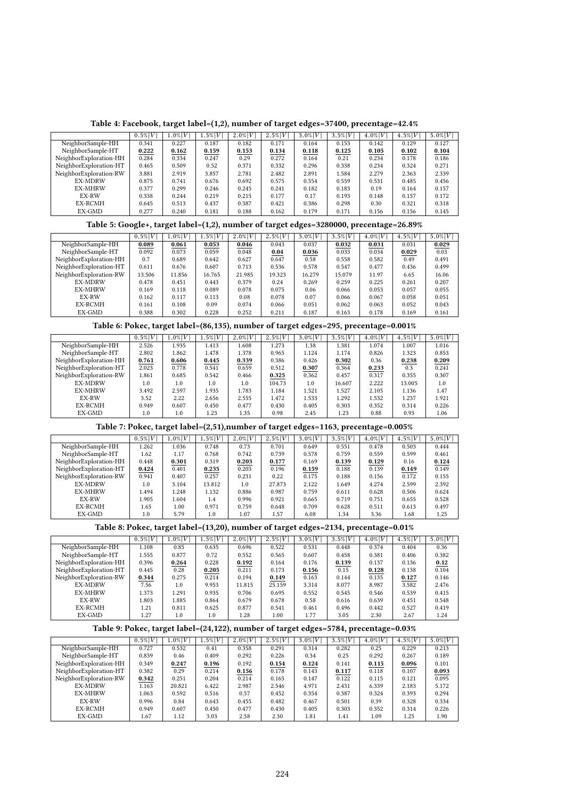|  |  |  |  | Table 4: Facebook, target label=(1,2), number of target edges=37400, precentage=42.4% |  |  |  |  |  |  |  |  |  |  |  |  |
|--|--|--|--|---------------------------------------------------------------------------------------|--|--|--|--|--|--|--|--|--|--|--|--|
|--|--|--|--|---------------------------------------------------------------------------------------|--|--|--|--|--|--|--|--|--|--|--|--|

|                        | $0.5\% V $ | $1.0\% V$ | $1.5\% V $ | $2.0\%V$ | $2.5\% V $ | $3.0\%V$ | $3.5\% V $ | $4.0\%V$ | $4.5\%V$ | $5.0\% V $ |
|------------------------|------------|-----------|------------|----------|------------|----------|------------|----------|----------|------------|
| NeighborSample-HH      | 0.341      | 0.227     | 0.187      | 0.182    | 0.171      | 0.164    | 0.153      | 0.142    | 0.129    | 0.127      |
| NeighborSample-HT      | 0.222      | 0.162     | 0.159      | 0.153    | 0.134      | 0.118    | 0.125      | 0.105    | 0.102    | 0.104      |
| NeighborExploration-HH | 0.284      | 0.334     | 0.247      | 0.29     | 0.272      | 0.164    | 0.21       | 0.234    | 0.178    | 0.186      |
| NeighborExploration-HT | 0.465      | 0.509     | 0.52       | 0.371    | 0.332      | 0.296    | 0.338      | 0.234    | 0.324    | 0.271      |
| NeighborExploration-RW | 3.881      | 2.919     | 3.857      | 2.781    | 2.482      | 2.891    | 1.584      | 2.279    | 2.363    | 2.339      |
| <b>EX-MDRW</b>         | 0.875      | 0.741     | 0.676      | 0.692    | 0.575      | 0.554    | 0.559      | 0.531    | 0.485    | 0.456      |
| <b>EX-MHRW</b>         | 0.377      | 0.299     | 0.246      | 0.245    | 0.241      | 0.182    | 0.183      | 0.19     | 0.164    | 0.157      |
| EX-RW                  | 0.338      | 0.244     | 0.219      | 0.215    | 0.177      | 0.17     | 0.193      | 0.148    | 0.157    | 0.172      |
| EX-RCMH                | 0.645      | 0.513     | 0.437      | 0.387    | 0.421      | 0.386    | 0.298      | 0.30     | 0.321    | 0.318      |
| EX-GMD                 | 0.277      | 0.240     | 0.181      | 0.188    | 0.162      | 0.179    | 0.171      | 0.156    | 0.156    | 0.145      |

# Table 5: Google+, target label=(1,2), number of target edges=3280000, precentage=26.89%

|                        | $0.5\% V $ | $1.0\% V $ | $.5\% V $ | $2.0\% V $ | $2.5\%V$ | $3.0\% V $ | $3.5\% V $ | $4.0\%V$ | $4.5\%V$ | $5.0\% V $ |
|------------------------|------------|------------|-----------|------------|----------|------------|------------|----------|----------|------------|
| NeighborSample-HH      | 0.089      | 0.061      | 0.053     | 0.046      | 0.043    | 0.037      | 0.032      | 0.031    | 0.031    | 0.029      |
| NeighborSample-HT      | 0.092      | 0.073      | 0.059     | 0.048      | 0.04     | 0.036      | 0.033      | 0.034    | 0.029    | 0.03       |
| NeighborExploration-HH | 0.7        | 0.689      | 0.642     | 0.627      | 0.647    | 0.58       | 0.558      | 0.582    | 0.49     | 0.491      |
| NeighborExploration-HT | 0.611      | 0.676      | 0.607     | 0.713      | 0.536    | 0.578      | 0.547      | 0.477    | 0.436    | 0.499      |
| NeighborExploration-RW | 13.506     | 11.856     | 16.765    | 21.985     | 19.323   | 16.279     | 15.079     | 11.97    | 6.65     | 16.06      |
| <b>EX-MDRW</b>         | 0.478      | 0.451      | 0.443     | 0.379      | 0.24     | 0.269      | 0.259      | 0.225    | 0.261    | 0.207      |
| <b>EX-MHRW</b>         | 0.169      | 0.118      | 0.089     | 0.078      | 0.075    | 0.06       | 0.066      | 0.053    | 0.057    | 0.055      |
| EX-RW                  | 0.162      | 0.117      | 0.113     | 0.08       | 0.078    | 0.07       | 0.066      | 0.067    | 0.058    | 0.051      |
| EX-RCMH                | 0.161      | 0.108      | 0.09      | 0.074      | 0.066    | 0.051      | 0.062      | 0.063    | 0.052    | 0.043      |
| EX-GMD                 | 0.388      | 0.302      | 0.228     | 0.252      | 0.211    | 0.187      | 0.163      | 0.178    | 0.169    | 0.161      |

# Table 6: Pokec, target label=(86,135), number of target edges=295, precentage=0.001%

|                        | $0.5\% V $ | $1.0\% V $ | $1.5\% V$ | $2.0 \%  V $ | $2.5\% V $ | $3.0\% V $ | $3.5\% V $ | $4.0\%V$ | $4.5\% V $ | $5.0\% V $ |
|------------------------|------------|------------|-----------|--------------|------------|------------|------------|----------|------------|------------|
| NeighborSample-HH      | 2.526      | 1.935      | 1.413     | 1.608        | 1.273      | 1.38       | 1.381      | 1.074    | 1.007      | 1.016      |
| NeighborSample-HT      | 2.802      | l.862      | 1.478     | 1.378        | 0.965      | 1.124      | 1.174      | 0.826    | 1.323      | 0.853      |
| NeighborExploration-HH | 0.761      | 0.606      | 0.445     | 0.339        | 0.386      | 0.426      | 0.302      | 0.36     | 0.238      | 0.209      |
| NeighborExploration-HT | 2.023      | 0.778      | 0.541     | 0.659        | 0.512      | 0.307      | 0.364      | 0.233    | 0.3        | 0.241      |
| NeighborExploration-RW | 1.861      | 0.685      | 0.542     | 0.466        | 0.325      | 0.362      | 0.457      | 0.317    | 0.355      | 0.307      |
| <b>EX-MDRW</b>         | 1.0        | 1.0        | 1.0       | 1.0          | 104.73     | 1.0        | 16.607     | 2.222    | 13.005     | 1.0        |
| <b>EX-MHRW</b>         | 3.492      | 2.597      | 1.935     | 1.783        | 1.184      | 1.521      | 1.527      | 2.105    | 1.136      | 1.47       |
| EX-RW                  | 3.52       | 2.22       | 2.656     | 2.555        | 1.472      | 1.533      | 1.292      | 1.532    | 1.237      | 1.921      |
| EX-RCMH                | 0.949      | 0.607      | 0.450     | 0.477        | 0.430      | 0.405      | 0.303      | 0.352    | 0.314      | 0.226      |
| EX-GMD                 | 1.0        | 1.0        | 1.23      | 1.35         | 0.98       | 2.45       | 1.23       | 0.88     | 0.93       | 1.06       |

# Table 7: Pokec, target label=(2,51),number of target edges=1163, precentage=0.005%

|                        | $0.5\% V$ | $1.0\% V $ | $1.5\% V $ | $2.0\%$ $V$ | $2.5\%V$ | $3.0\%V$ | $3.5\%V$ | $4.0\%V$ | $4.5\%V$ | $5.0\% V $ |
|------------------------|-----------|------------|------------|-------------|----------|----------|----------|----------|----------|------------|
| NeighborSample-HH      | 1.262     | 1.036      | 0.748      | 0.73        | 0.701    | 0.649    | 0.551    | 0.478    | 0.503    | 0.444      |
| NeighborSample-HT      | 1.62      | 1.17       | 0.768      | 0.742       | 0.739    | 0.578    | 0.759    | 0.559    | 0.599    | 0.461      |
| NeighborExploration-HH | 0.448     | 0.301      | 0.319      | 0.203       | 0.177    | 0.169    | 0.139    | 0.129    | 0.16     | 0.124      |
| NeighborExploration-HT | 0.424     | 0.401      | 0.235      | 0.203       | 0.196    | 0.159    | 0.188    | 0.139    | 0.149    | 0.149      |
| NeighborExploration-RW | 0.941     | 0.407      | 0.257      | 0.231       | 0.22     | 0.175    | 0.188    | 0.156    | 0.172    | 0.155      |
| <b>EX-MDRW</b>         | 1.0       | 3.104      | 13.812     | 1.0         | 27.873   | 2.122    | 1.649    | 4.274    | 2.599    | 2.392      |
| <b>EX-MHRW</b>         | .494      | 1.248      | 1.132      | 0.886       | 0.987    | 0.759    | 0.611    | 0.628    | 0.506    | 0.624      |
| EX-RW                  | L.905     | 1.604      | 1.4        | 0.996       | 0.921    | 0.665    | 0.719    | 0.751    | 0.655    | 0.528      |
| EX-RCMH                | 1.65      | 1.00       | 0.971      | 0.759       | 0.648    | 0.709    | 0.628    | 0.511    | 0.613    | 0.497      |
| EX-GMD                 | 1.0       | 5.79       | 1.0        | 1.07        | 1.57     | 6.08     | 1.34     | 3.36     | 1.68     | 1.25       |

#### Table 8: Pokec, target label=(13,20), number of target edges=2134, precentage=0.01%

|                        | $0.5\%$ $V$ | $1.0\% V $ | $.5\% V $ | $2.0 \%  V $ | $2.5\% V $ | $3.0\%$ $V$ | $3.5\%V$ | $4.0\%V$ | $4.5\%V$ | $5.0\% V $ |
|------------------------|-------------|------------|-----------|--------------|------------|-------------|----------|----------|----------|------------|
| NeighborSample-HH      | 1.108       | 0.85       | 0.635     | 0.696        | 0.522      | 0.531       | 0.448    | 0.374    | 0.404    | 0.36       |
| NeighborSample-HT      | .555        | 0.877      | 0.72      | 0.552        | 0.565      | 0.607       | 0.458    | 0.381    | 0.406    | 0.382      |
| NeighborExploration-HH | 0.396       | 0.264      | 0.228     | 0.192        | 0.164      | 0.176       | 0.139    | 0.137    | 0.136    | 0.12       |
| NeighborExploration-HT | 0.445       | 0.28       | 0.205     | 0.211        | 0.173      | 0.156       | 0.15     | 0.128    | 0.138    | 0.104      |
| NeighborExploration-RW | 0.344       | 0.275      | 0.214     | 0.194        | 0.149      | 0.163       | 0.144    | 0.135    | 0.127    | 0.146      |
| <b>EX-MDRW</b>         | 7.56        | 1.0        | 9.953     | 11.815       | 25.159     | 3.314       | 8.077    | 8.987    | 3.582    | 2.476      |
| <b>EX-MHRW</b>         | 1.373       | .291       | 0.935     | 0.706        | 0.695      | 0.552       | 0.545    | 0.546    | 0.539    | 0.415      |
| EX-RW                  | .803        | 1.885      | 0.864     | 0.679        | 0.678      | 0.58        | 0.616    | 0.639    | 0.451    | 0.548      |
| EX-RCMH                | 1.21        | 0.811      | 0.625     | 0.877        | 0.541      | 0.461       | 0.496    | 0.442    | 0.527    | 0.419      |
| EX-GMD                 | 1.27        | 1.0        | 1.0       | 1.28         | 1.00       | 1.77        | 3.05     | 2.30     | 2.67     | 1.24       |
|                        |             |            |           |              |            |             |          |          |          |            |

# Table 9: Pokec, target label=(24,122), number of target edges=5784, precentage=0.03%

| $0.5\% V $ | $1.0\% V $ | $.5\% V $ | $2.0\% V $ | $2.5\%V$ | $3.0\%V$ | $3.5\% V $ | $4.0\%V$ | $4.5\%V$ | $5.0\% V $ |
|------------|------------|-----------|------------|----------|----------|------------|----------|----------|------------|
| 0.727      | 0.532      | 0.41      | 0.358      | 0.291    | 0.314    | 0.282      | 0.25     | 0.229    | 0.213      |
| 0.839      | 0.46       | 0.409     | 0.292      | 0.226    | 0.34     | 0.25       | 0.292    | 0.267    | 0.189      |
| 0.349      | 0.247      | 0.196     | 0.192      | 0.154    | 0.124    | 0.141      | 0.115    | 0.096    | 0.101      |
| 0.382      | 0.29       | 0.214     | 0.156      | 0.178    | 0.143    | 0.117      | 0.118    | 0.107    | 0.093      |
| 0.342      | 0.251      | 0.204     | 0.214      | 0.165    | 0.147    | 0.122      | 0.115    | 0.121    | 0.095      |
| 1.163      | 20.821     | 6.422     | 2.987      | 2.546    | 4.971    | 2.431      | 6.339    | 2.183    | 5.172      |
| 1.063      | 0.592      | 0.516     | 0.57       | 0.452    | 0.354    | 0.387      | 0.324    | 0.393    | 0.294      |
| 0.996      | 0.84       | 0.643     | 0.455      | 0.482    | 0.467    | 0.501      | 0.39     | 0.328    | 0.334      |
| 0.949      | 0.607      | 0.450     | 0.477      | 0.430    | 0.405    | 0.303      | 0.352    | 0.314    | 0.226      |
| 1.67       | 1.12       | 3.03      | 2.58       | 2.30     | 1.81     | 1.41       | 1.09     | 1.25     | 1.90       |
|            |            |           |            |          |          |            |          |          |            |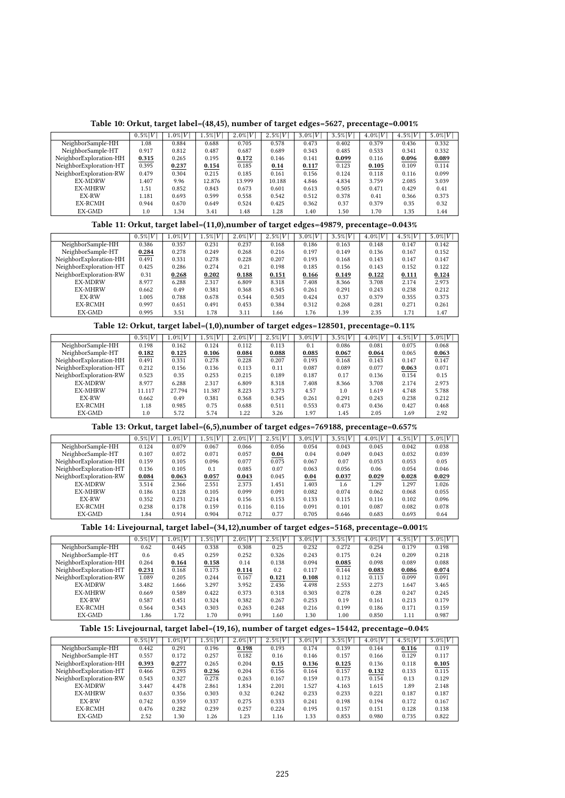|  |  | Table 10: Orkut, target label=(48,45), number of target edges=5627, precentage=0.001% |  |  |  |  |  |  |  |  |  |  |  |  |  |
|--|--|---------------------------------------------------------------------------------------|--|--|--|--|--|--|--|--|--|--|--|--|--|
|--|--|---------------------------------------------------------------------------------------|--|--|--|--|--|--|--|--|--|--|--|--|--|

|                        | $0.5\% V $ | $1.0\% V$ | $1.5\% V$ | $2.0\% V $ | $2.5\%V$ | $3.0\% V $ | $3.5\%V$ | $4.0\%V$ | $4.5\%V$ | $5.0\% V $ |
|------------------------|------------|-----------|-----------|------------|----------|------------|----------|----------|----------|------------|
| NeighborSample-HH      | 1.08       | 0.884     | 0.688     | 0.705      | 0.578    | 0.473      | 0.402    | 0.379    | 0.436    | 0.332      |
| NeighborSample-HT      | 0.917      | 0.812     | 0.487     | 0.687      | 0.689    | 0.343      | 0.485    | 0.533    | 0.341    | 0.332      |
| NeighborExploration-HH | 0.315      | 0.265     | 0.195     | 0.172      | 0.146    | 0.141      | 0.099    | 0.116    | 0.096    | 0.089      |
| NeighborExploration-HT | 0.395      | 0.237     | 0.154     | 0.185      | 0.14     | 0.117      | 0.123    | 0.105    | 0.109    | 0.114      |
| NeighborExploration-RW | 0.479      | 0.304     | 0.215     | 0.185      | 0.161    | 0.156      | 0.124    | 0.118    | 0.116    | 0.099      |
| <b>EX-MDRW</b>         | .407       | 9.96      | 12.876    | 13.999     | 10.188   | 4.846      | 4.834    | 3.759    | 2.085    | 3.039      |
| <b>EX-MHRW</b>         | 1.51       | 0.852     | 0.843     | 0.673      | 0.601    | 0.613      | 0.505    | 0.471    | 0.429    | 0.41       |
| EX-RW                  | 1.181      | 0.693     | 0.599     | 0.558      | 0.542    | 0.512      | 0.378    | 0.41     | 0.366    | 0.373      |
| EX-RCMH                | 0.944      | 0.670     | 0.649     | 0.524      | 0.425    | 0.362      | 0.37     | 0.379    | 0.35     | 0.32       |
| EX-GMD                 | 1.0        | 1.34      | 3.41      | 1.48       | 1.28     | 1.40       | 1.50     | 1.70     | 1.35     | 1.44       |

# Table 11: Orkut, target label=(11,0),number of target edges=49879, precentage=0.043%

|                        | $0.5\% V $ | $1.0\% V $ | $1.5\% V $ | $2.0\%V$ | $2.5\%V$ | $3.0\% V $ | $3.5\%V$ | $4.0\%V$ | $4.5\%V$ | $5.0\% V $ |
|------------------------|------------|------------|------------|----------|----------|------------|----------|----------|----------|------------|
| NeighborSample-HH      | 0.386      | 0.357      | 0.231      | 0.237    | 0.168    | 0.186      | 0.163    | 0.148    | 0.147    | 0.142      |
| NeighborSample-HT      | 0.284      | 0.278      | 0.249      | 0.268    | 0.216    | 0.197      | 0.149    | 0.136    | 0.167    | 0.152      |
| NeighborExploration-HH | 0.491      | 0.331      | 0.278      | 0.228    | 0.207    | 0.193      | 0.168    | 0.143    | 0.147    | 0.147      |
| NeighborExploration-HT | 0.425      | 0.286      | 0.274      | 0.21     | 0.198    | 0.185      | 0.156    | 0.143    | 0.152    | 0.122      |
| NeighborExploration-RW | 0.31       | 0.268      | 0.202      | 0.188    | 0.151    | 0.166      | 0.149    | 0.122    | 0.111    | 0.124      |
| <b>EX-MDRW</b>         | 8.977      | 6.288      | 2.317      | 6.809    | 8.318    | 7.408      | 8.366    | 3.708    | 2.174    | 2.973      |
| <b>EX-MHRW</b>         | 0.662      | 0.49       | 0.381      | 0.368    | 0.345    | 0.261      | 0.291    | 0.243    | 0.238    | 0.212      |
| EX-RW                  | 1.005      | 0.788      | 0.678      | 0.544    | 0.503    | 0.424      | 0.37     | 0.379    | 0.355    | 0.373      |
| <b>EX-RCMH</b>         | 0.997      | 0.651      | 0.491      | 0.453    | 0.384    | 0.312      | 0.268    | 0.281    | 0.271    | 0.261      |
| EX-GMD                 | 0.995      | 3.51       | 1.78       | 3.11     | 1.66     | 1.76       | 1.39     | 2.35     | 1.71     | 1.47       |

# Table 12: Orkut, target label=(1,0),number of target edges=128501, precentage=0.11%

|                        | $0.5\% V $ | $1.0\% V $ | $1.5\% V $ | $2.0\% V $ | $2.5\%V$ | $3.0\% V $ | $3.5\% V $ | $4.0\%V$ | $4.5\% V $ | $5.0\% V $ |
|------------------------|------------|------------|------------|------------|----------|------------|------------|----------|------------|------------|
| NeighborSample-HH      | 0.198      | 0.162      | 0.124      | 0.112      | 0.113    | 0.1        | 0.086      | 0.081    | 0.075      | 0.068      |
| NeighborSample-HT      | 0.182      | 0.125      | 0.106      | 0.084      | 0.088    | 0.085      | 0.067      | 0.064    | 0.065      | 0.063      |
| NeighborExploration-HH | 0.491      | 0.331      | 0.278      | 0.228      | 0.207    | 0.193      | 0.168      | 0.143    | 0.147      | 0.147      |
| NeighborExploration-HT | 0.212      | 0.156      | 0.136      | 0.113      | 0.11     | 0.087      | 0.089      | 0.077    | 0.063      | 0.071      |
| NeighborExploration-RW | 0.523      | 0.35       | 0.253      | 0.215      | 0.189    | 0.187      | 0.17       | 0.136    | 0.154      | 0.15       |
| <b>EX-MDRW</b>         | 8.977      | 6.288      | 2.317      | 6.809      | 8.318    | 7.408      | 8.366      | 3.708    | 2.174      | 2.973      |
| <b>EX-MHRW</b>         | 11.117     | 27.794     | 11.387     | 8.223      | 3.273    | 4.57       | 1.0        | 1.619    | 4.748      | 5.788      |
| EX-RW                  | 0.662      | 0.49       | 0.381      | 0.368      | 0.345    | 0.261      | 0.291      | 0.243    | 0.238      | 0.212      |
| EX-RCMH                | 1.18       | 0.985      | 0.75       | 0.688      | 0.511    | 0.553      | 0.473      | 0.436    | 0.427      | 0.468      |
| EX-GMD                 | 1.0        | 5.72       | 5.74       | 1.22       | 3.26     | 1.97       | 1.45       | 2.05     | 1.69       | 2.92       |

Table 13: Orkut, target label=(6,5),number of target edges=769188, precentage=0.657%

|                        | $0.5\% V$ | $1.0\% V $ | $1.5\% V $ | $2.0 \%  V $ | $2.5\%V$ | $3.0\%V$ | $3.5\%V$ | $4.0\%V$ | $4.5\%V$ | 5.0% V |
|------------------------|-----------|------------|------------|--------------|----------|----------|----------|----------|----------|--------|
| NeighborSample-HH      | 0.124     | 0.079      | 0.067      | 0.066        | 0.056    | 0.054    | 0.043    | 0.045    | 0.042    | 0.038  |
| NeighborSample-HT      | 0.107     | 0.072      | 0.071      | 0.057        | 0.04     | 0.04     | 0.049    | 0.043    | 0.032    | 0.039  |
| NeighborExploration-HH | 0.159     | 0.105      | 0.096      | 0.077        | 0.075    | 0.067    | 0.07     | 0.053    | 0.053    | 0.05   |
| NeighborExploration-HT | 0.136     | 0.105      | 0.1        | 0.085        | 0.07     | 0.063    | 0.056    | 0.06     | 0.054    | 0.046  |
| NeighborExploration-RW | 0.084     | 0.063      | 0.057      | 0.043        | 0.045    | 0.04     | 0.037    | 0.029    | 0.028    | 0.029  |
| <b>EX-MDRW</b>         | 3.514     | 2.366      | 2.551      | 2.373        | 1.451    | 1.403    | 1.6      | 1.29     | 1.297    | 1.026  |
| <b>EX-MHRW</b>         | 0.186     | 0.128      | 0.105      | 0.099        | 0.091    | 0.082    | 0.074    | 0.062    | 0.068    | 0.055  |
| EX-RW                  | 0.352     | 0.231      | 0.214      | 0.156        | 0.153    | 0.133    | 0.115    | 0.116    | 0.102    | 0.096  |
| EX-RCMH                | 0.238     | 0.178      | 0.159      | 0.116        | 0.116    | 0.091    | 0.101    | 0.087    | 0.082    | 0.078  |
| EX-GMD                 | 1.84      | 0.914      | 0.904      | 0.712        | 0.77     | 0.705    | 0.646    | 0.683    | 0.693    | 0.64   |

Table 14: Livejournal, target label=(34,12),number of target edges=5168, precentage=0.001%

|                        | $0.5\%$ $V$ | $0.0\% V $ | $.5\% V $ | $2.0\% V $ | $2.5\%V$ | $3.0\%V$ | $3.5\%V$ | $4.0\%V$ | $4.5\%V$ | $5.0\% V $ |
|------------------------|-------------|------------|-----------|------------|----------|----------|----------|----------|----------|------------|
| NeighborSample-HH      | 0.62        | 0.445      | 0.338     | 0.308      | 0.25     | 0.232    | 0.272    | 0.254    | 0.179    | 0.198      |
| NeighborSample-HT      | 0.6         | 0.45       | 0.259     | 0.252      | 0.326    | 0.243    | 0.175    | 0.24     | 0.209    | 0.218      |
| NeighborExploration-HH | 0.264       | 0.164      | 0.158     | 0.14       | 0.138    | 0.094    | 0.085    | 0.098    | 0.089    | 0.088      |
| NeighborExploration-HT | 0.231       | 0.168      | 0.173     | 0.114      | 0.2      | 0.117    | 0.144    | 0.083    | 0.086    | 0.074      |
| NeighborExploration-RW | 1.089       | 0.205      | 0.244     | 0.167      | 0.121    | 0.108    | 0.112    | 0.113    | 0.099    | 0.091      |
| <b>EX-MDRW</b>         | 3.482       | .666       | 3.297     | 3.952      | 2.436    | 4.498    | 2.553    | 2.273    | 1.647    | 3.465      |
| <b>EX-MHRW</b>         | 0.669       | 0.589      | 0.422     | 0.373      | 0.318    | 0.303    | 0.278    | 0.28     | 0.247    | 0.245      |
| EX-RW                  | 0.587       | 0.451      | 0.324     | 0.382      | 0.267    | 0.253    | 0.19     | 0.161    | 0.213    | 0.179      |
| EX-RCMH                | 0.564       | 0.343      | 0.303     | 0.263      | 0.248    | 0.216    | 0.199    | 0.186    | 0.171    | 0.159      |
| EX-GMD                 | 1.86        | 1.72       | 1.70      | 0.991      | 1.60     | 1.30     | 1.00     | 0.850    | 1.11     | 0.987      |
|                        |             |            |           |            |          |          |          |          |          |            |

# Table 15: Livejournal, target label=(19,16), number of target edges=15442, precentage=0.04%

| $0.5\% V $ | $1.0\% V $ | $.5\% V $ | $2.0\%V$ | $2.5\% V $ | $3.0\%$ $V$ | $3.5\%V$ | $4.0\%V$ | $4.5\%V$ | 5.0% V |
|------------|------------|-----------|----------|------------|-------------|----------|----------|----------|--------|
| 0.442      | 0.291      | 0.196     | 0.198    | 0.193      | 0.174       | 0.139    | 0.144    | 0.116    | 0.119  |
| 0.557      | 0.172      | 0.257     | 0.182    | 0.16       | 0.146       | 0.157    | 0.166    | 0.129    | 0.117  |
| 0.393      | 0.277      | 0.265     | 0.204    | 0.15       | 0.136       | 0.125    | 0.136    | 0.118    | 0.105  |
| 0.466      | 0.293      | 0.236     | 0.204    | 0.156      | 0.164       | 0.157    | 0.132    | 0.133    | 0.115  |
| 0.543      | 0.327      | 0.278     | 0.263    | 0.167      | 0.159       | 0.173    | 0.154    | 0.13     | 0.129  |
| 3.447      | 4.478      | 2.861     | 1.834    | 2.201      | 1.527       | 4.163    | 1.615    | 1.89     | 2.148  |
| 0.637      | 0.356      | 0.303     | 0.32     | 0.242      | 0.233       | 0.233    | 0.221    | 0.187    | 0.187  |
| 0.742      | 0.359      | 0.337     | 0.275    | 0.333      | 0.241       | 0.198    | 0.194    | 0.172    | 0.167  |
| 0.476      | 0.282      | 0.239     | 0.257    | 0.224      | 0.195       | 0.157    | 0.151    | 0.128    | 0.138  |
| 2.52       | 1.30       | 1.26      | 1.23     | 1.16       | 1.33        | 0.853    | 0.980    | 0.735    | 0.822  |
|            |            |           |          |            |             |          |          |          |        |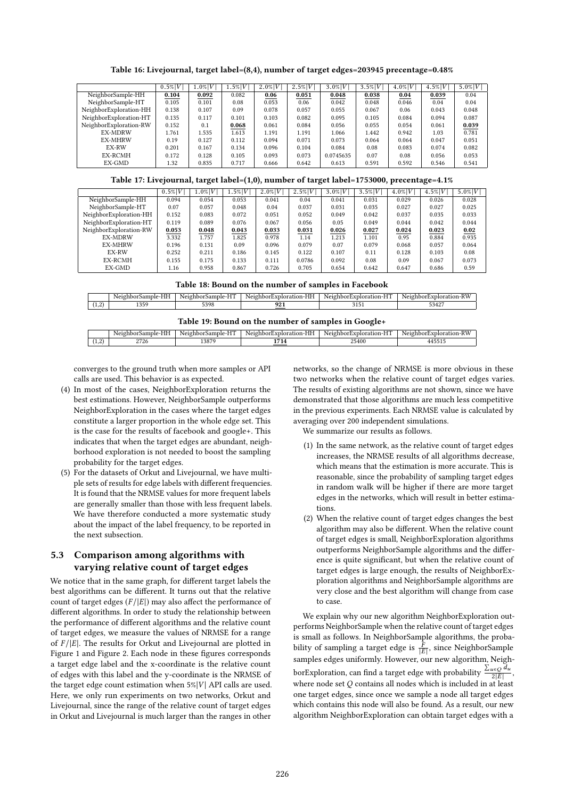Table 16: Livejournal, target label=(8,4), number of target edges=203945 precentage=0.48%

|                        | $0.5\% V$ | $1.0\% V$ | $.5\% V$ | $2.0\%$ $V$ | $2.5\%V$ | $3.0\%$ $V$ | $3.5\%V$ | $4.0\%V$ | $4.5\%V$ | 5.0% V |
|------------------------|-----------|-----------|----------|-------------|----------|-------------|----------|----------|----------|--------|
| NeighborSample-HH      | 0.104     | 0.092     | 0.082    | 0.06        | 0.051    | 0.048       | 0.038    | 0.04     | 0.039    | 0.04   |
| NeighborSample-HT      | 0.105     | 0.101     | 0.08     | 0.053       | 0.06     | 0.042       | 0.048    | 0.046    | 0.04     | 0.04   |
| NeighborExploration-HH | 0.138     | 0.107     | 0.09     | 0.078       | 0.057    | 0.055       | 0.067    | 0.06     | 0.043    | 0.048  |
| NeighborExploration-HT | 0.135     | 0.117     | 0.101    | 0.103       | 0.082    | 0.095       | 0.105    | 0.084    | 0.094    | 0.087  |
| NeighborExploration-RW | 0.152     | 0.1       | 0.068    | 0.061       | 0.084    | 0.056       | 0.055    | 0.054    | 0.061    | 0.039  |
| <b>EX-MDRW</b>         | 1.761     | 1.535     | 1.613    | 1.191       | 1.191    | 1.066       | 1.442    | 0.942    | 1.03     | 0.781  |
| <b>EX-MHRW</b>         | 0.19      | 0.127     | 0.112    | 0.094       | 0.071    | 0.073       | 0.064    | 0.064    | 0.047    | 0.051  |
| EX-RW                  | 0.201     | 0.167     | 0.134    | 0.096       | 0.104    | 0.084       | 0.08     | 0.083    | 0.074    | 0.082  |
| EX-RCMH                | 0.172     | 0.128     | 0.105    | 0.093       | 0.073    | 0.0745635   | 0.07     | 0.08     | 0.056    | 0.053  |
| EX-GMD                 | 1.32      | 0.835     | 0.717    | 0.666       | 0.642    | 0.613       | 0.591    | 0.592    | 0.546    | 0.541  |

Table 17: Livejournal, target label=(1,0), number of target label=1753000, precentage=4.1%

|                        | $0.5\% V$ | $1.0\% V$ | $1.5\% V $ | $2.0\% V $ | $2.5\% V $ | $3.0\% V $ | $3.5\% V $ | $4.0\% V $ | $4.5\%V$ | $5.0\% V $ |
|------------------------|-----------|-----------|------------|------------|------------|------------|------------|------------|----------|------------|
| NeighborSample-HH      | 0.094     | 0.054     | 0.053      | 0.041      | 0.04       | 0.041      | 0.031      | 0.029      | 0.026    | 0.028      |
| NeighborSample-HT      | 0.07      | 0.057     | 0.048      | 0.04       | 0.037      | 0.031      | 0.035      | 0.027      | 0.027    | 0.025      |
| NeighborExploration-HH | 0.152     | 0.083     | 0.072      | 0.051      | 0.052      | 0.049      | 0.042      | 0.037      | 0.035    | 0.033      |
| NeighborExploration-HT | 0.119     | 0.089     | 0.076      | 0.067      | 0.056      | 0.05       | 0.049      | 0.044      | 0.042    | 0.044      |
| NeighborExploration-RW | 0.053     | 0.048     | 0.043      | 0.033      | 0.031      | 0.026      | 0.027      | 0.024      | 0.023    | 0.02       |
| <b>EX-MDRW</b>         | 3.332     | 1.757     | 1.825      | 0.978      | 1.14       | 1.213      | 1.101      | 0.95       | 0.884    | 0.935      |
| <b>EX-MHRW</b>         | 0.196     | 0.131     | 0.09       | 0.096      | 0.079      | 0.07       | 0.079      | 0.068      | 0.057    | 0.064      |
| EX-RW                  | 0.252     | 0.211     | 0.186      | 0.145      | 0.122      | 0.107      | 0.11       | 0.128      | 0.103    | 0.08       |
| EX-RCMH                | 0.155     | 0.175     | 0.133      | 0.111      | 0.0786     | 0.092      | 0.08       | 0.09       | 0.067    | 0.073      |
| EX-GMD                 | 1.16      | 0.958     | 0.867      | 0.726      | 0.705      | 0.654      | 0.642      | 0.647      | 0.686    | 0.59       |
|                        |           |           |            |            |            |            |            |            |          |            |

|                      | .<br>----<br>16 | ---<br>-----<br>------<br>Neic<br>ուշ<br>YИ<br>. | $   -$<br>hhorkyn<br>Neic<br>.<br>$-1$ on $-$ .<br>.<br>⊢ | $-$<br>.<br>Neich<br>$"v$ nlor $\sim$<br>חו | $-1$<br>.<br>.     |
|----------------------|-----------------|--------------------------------------------------|-----------------------------------------------------------|---------------------------------------------|--------------------|
| n.<br>$\overline{1}$ | 0.50<br>.       | 7200                                             | nn<br>u<br>241                                            |                                             | $ \sim$<br>40r<br> |

|  |  | Table 19: Bound on the number of samples in Google+ |  |  |  |
|--|--|-----------------------------------------------------|--|--|--|
|--|--|-----------------------------------------------------|--|--|--|

|               |           |                              |                       | --                          |                                             |
|---------------|-----------|------------------------------|-----------------------|-----------------------------|---------------------------------------------|
|               | $-1$<br>. | $- - -$<br>$- - - -$<br>Neto | $  -$<br>Neu<br>$nn-$ | $\sim$ $\sim$<br>HТ<br>Neic | TITT <sub>7</sub><br>. .<br>N <sub>01</sub> |
| $\Omega$<br>. | 2726      | 1007<br>-387                 | $  -$<br>' 14         | $\angle 5400$               | -----                                       |
|               |           |                              |                       |                             |                                             |

converges to the ground truth when more samples or API calls are used. This behavior is as expected.

- (4) In most of the cases, NeighborExploration returns the best estimations. However, NeighborSample outperforms NeighborExploration in the cases where the target edges constitute a larger proportion in the whole edge set. This is the case for the results of facebook and google+. This indicates that when the target edges are abundant, neighborhood exploration is not needed to boost the sampling probability for the target edges.
- (5) For the datasets of Orkut and Livejournal, we have multiple sets of results for edge labels with different frequencies. It is found that the NRMSE values for more frequent labels are generally smaller than those with less frequent labels. We have therefore conducted a more systematic study about the impact of the label frequency, to be reported in the next subsection.

#### 5.3 Comparison among algorithms with varying relative count of target edges

We notice that in the same graph, for different target labels the best algorithms can be different. It turns out that the relative count of target edges  $(F/|E|)$  may also affect the performance of different algorithms. In order to study the relationship between the performance of different algorithms and the relative count of target edges, we measure the values of NRMSE for a range of  $F/|E|$ . The results for Orkut and Livejournal are plotted in Figure 1 and Figure 2. Each node in these figures corresponds a target edge label and the x-coordinate is the relative count of edges with this label and the y-coordinate is the NRMSE of the target edge count estimation when  $5\%|V|$  API calls are used. Here, we only run experiments on two networks, Orkut and Livejournal, since the range of the relative count of target edges in Orkut and Livejournal is much larger than the ranges in other

networks, so the change of NRMSE is more obvious in these two networks when the relative count of target edges varies. The results of existing algorithms are not shown, since we have demonstrated that those algorithms are much less competitive in the previous experiments. Each NRMSE value is calculated by averaging over 200 independent simulations.

We summarize our results as follows.

- (1) In the same network, as the relative count of target edges increases, the NRMSE results of all algorithms decrease, which means that the estimation is more accurate. This is reasonable, since the probability of sampling target edges in random walk will be higher if there are more target edges in the networks, which will result in better estimations.
- (2) When the relative count of target edges changes the best algorithm may also be different. When the relative count of target edges is small, NeighborExploration algorithms outperforms NeighborSample algorithms and the difference is quite significant, but when the relative count of target edges is large enough, the results of NeighborExploration algorithms and NeighborSample algorithms are very close and the best algorithm will change from case to case.

We explain why our new algorithm NeighborExploration outperforms NeighborSample when the relative count of target edges is small as follows. In NeighborSample algorithms, the probability of sampling a target edge is  $\frac{F}{|E|}$ , since NeighborSample  $\frac{1}{\text{E}}$  is sampling a target cuge is  $\frac{1}{\text{E}}$ , since is regularithm. NeighborExploration, can find a target edge with probability  $\frac{\sum_{u \in Q} d_u}{2|E|}$ ,<br>where node set *O* contains all nodes which is included in at least where node set  $O$  contains all nodes which is included in at least one target edges, since once we sample a node all target edges which contains this node will also be found. As a result, our new algorithm NeighborExploration can obtain target edges with a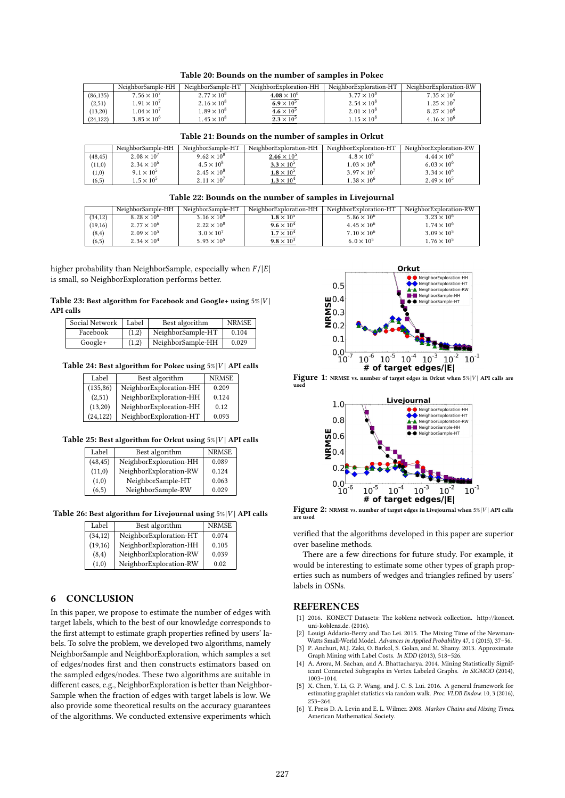Table 20: Bounds on the number of samples in Pokec

|           | NeighborSample-HH    | NeighborSample-HT    | NeighborExploration-HH | NeighborExploration-HT | NeighborExploration-RW |
|-----------|----------------------|----------------------|------------------------|------------------------|------------------------|
| (86, 135) | $7.56 \times 10^{7}$ | $2.77 \times 10^{8}$ | $4.08 \times 10^{6}$   | $3.77 \times 10^{8}$   | $7.35 \times 10^{7}$   |
| (2,51)    | $1.91 \times 10^{7}$ | $2.16 \times 10^8$   | $6.9 \times 10^5$      | $2.54 \times 10^8$     | $1.25 \times 10^{7}$   |
| (13,20)   | $1.04 \times 10^{7}$ | $1.89 \times 10^{8}$ | $4.6 \times 10^5$      | $2.01 \times 10^{8}$   | $8.27 \times 10^{6}$   |
| (24, 122) | $3.85 \times 10^{6}$ | $1.45 \times 10^{8}$ | $2.3 \times 10^5$      | $1.15 \times 10^{8}$   | $4.16 \times 10^{6}$   |

Table 21: Bounds on the number of samples in Orkut

|          | NeighborSample-HH    | NeighborSample-HT    | NeighborExploration-HH | NeighborExploration-HT | NeighborExploration-RW |
|----------|----------------------|----------------------|------------------------|------------------------|------------------------|
| (48, 45) | $2.08 \times 10^{7}$ | $9.62 \times 10^{8}$ | $2.46 \times 10^{5}$   | $4.8 \times 10^{6}$    | $4.44 \times 10^{6}$   |
| (11,0)   | $2.34 \times 10^{6}$ | $4.5 \times 10^{8}$  | $3.3 \times 10^5$      | $1.03 \times 10^{8}$   | $6.03 \times 10^{6}$   |
| (1,0)    | $9.1 \times 10^5$    | $2.45 \times 10^8$   | $1.8 \times 10^5$      | $3.97 \times 10^{7}$   | $3.34 \times 10^{6}$   |
| (6, 5)   | $1.5 \times 10^{5}$  | $2.11 \times 10^{7}$ | $1.3 \times 10^4$      | $1.38 \times 10^{6}$   | $2.49 \times 10^{5}$   |
|          |                      |                      |                        |                        |                        |

#### Table 22: Bounds on the number of samples in Livejournal

| $3.16 \times 10^{8}$<br>(34, 12)<br>$8.28 \times 10^{6}$<br>$3.23 \times 10^{6}$<br>5.86 $\times$ 10 <sup>6</sup><br>$1.8 \times 10^5$<br>$2.77 \times 10^{6}$<br>(19,16)<br>$2.22 \times 10^8$<br>$1.74 \times 10^{6}$<br>$9.6 \times 10^{4}$<br>$4.45 \times 10^{6}$<br>$2.09 \times 10^{5}$<br>$3.0 \times 10^{7}$<br>$3.09 \times 10^{5}$<br>$7.10 \times 10^{6}$<br>$1.7 \times 10^4$<br>(8, 4)<br>$2.34 \times 10^{4}$<br>$1.76 \times 10^{5}$<br>$6.0 \times 10^{5}$<br>$5.93 \times 10^{5}$<br>$9.8 \times 10^3$ |        | NeighborSample-HH | NeighborSample-HT | NeighborExploration-HH | NeighborExploration-HT | NeighborExploration-RW |
|--------------------------------------------------------------------------------------------------------------------------------------------------------------------------------------------------------------------------------------------------------------------------------------------------------------------------------------------------------------------------------------------------------------------------------------------------------------------------------------------------------------------------|--------|-------------------|-------------------|------------------------|------------------------|------------------------|
|                                                                                                                                                                                                                                                                                                                                                                                                                                                                                                                          |        |                   |                   |                        |                        |                        |
|                                                                                                                                                                                                                                                                                                                                                                                                                                                                                                                          |        |                   |                   |                        |                        |                        |
|                                                                                                                                                                                                                                                                                                                                                                                                                                                                                                                          |        |                   |                   |                        |                        |                        |
|                                                                                                                                                                                                                                                                                                                                                                                                                                                                                                                          | (6, 5) |                   |                   |                        |                        |                        |

higher probability than NeighborSample, especially when  $F / |E|$ is small, so NeighborExploration performs better.

#### Table 23: Best algorithm for Facebook and Google+ using  $5\%|V|$ API calls

| Social Network | Label | Best algorithm    | <b>NRMSE</b> |
|----------------|-------|-------------------|--------------|
| Facebook       | (1,2) | NeighborSample-HT | 0.104        |
| Google+        | (1.2) | NeighborSample-HH | 0.029        |

#### Table 24: Best algorithm for Pokec using  $5\%|V|$  API calls

| Label     | Best algorithm         | <b>NRMSE</b> |
|-----------|------------------------|--------------|
| (135, 86) | NeighborExploration-HH | 0.209        |
| (2,51)    | NeighborExploration-HH | 0.124        |
| (13,20)   | NeighborExploration-HH | 0.12         |
| (24, 122) | NeighborExploration-HT | 0.093        |

#### Table 25: Best algorithm for Orkut using  $5\%|V|$  API calls

| Label    | Best algorithm         | <b>NRMSE</b> |
|----------|------------------------|--------------|
| (48, 45) | NeighborExploration-HH | 0.089        |
| (11,0)   | NeighborExploration-RW | 0.124        |
| (1,0)    | NeighborSample-HT      | 0.063        |
| (6, 5)   | NeighborSample-RW      | 0.029        |

Table 26: Best algorithm for Livejournal using  $5\%|V|$  API calls

| Label    | Best algorithm         | <b>NRMSE</b> |
|----------|------------------------|--------------|
| (34, 12) | NeighborExploration-HT | 0.074        |
| (19,16)  | NeighborExploration-HH | 0.105        |
| (8,4)    | NeighborExploration-RW | 0.039        |
| (1,0)    | NeighborExploration-RW | 0.02         |

#### 6 CONCLUSION

In this paper, we propose to estimate the number of edges with target labels, which to the best of our knowledge corresponds to the first attempt to estimate graph properties refined by users' labels. To solve the problem, we developed two algorithms, namely NeighborSample and NeighborExploration, which samples a set of edges/nodes first and then constructs estimators based on the sampled edges/nodes. These two algorithms are suitable in different cases, e.g., NeighborExploration is better than Neighbor-Sample when the fraction of edges with target labels is low. We also provide some theoretical results on the accuracy guarantees of the algorithms. We conducted extensive experiments which



Figure 1: NRMSE vs. number of target edges in Orkut when  $5\%|V|$  API calls are used



Figure 2: NRMSE vs. number of target edges in Livejournal when  $5\%|V|$  API calls are used

verified that the algorithms developed in this paper are superior over baseline methods.

There are a few directions for future study. For example, it would be interesting to estimate some other types of graph properties such as numbers of wedges and triangles refined by users' labels in OSNs.

#### REFERENCES

- [1] 2016. KONECT Datasets: The koblenz network collection. http://konect. uni-koblenz.de. (2016).
- [2] Louigi Addario-Berry and Tao Lei. 2015. The Mixing Time of the Newman-Watts Small-World Model. Advances in Applied Probability 47, 1 (2015), 37–56.
- [3] P. Anchuri, M.J. Zaki, O. Barkol, S. Golan, and M. Shamy. 2013. Approximate Graph Mining with Label Costs. In KDD (2013), 518–526.
- [4] A. Arora, M. Sachan, and A. Bhattacharya. 2014. Mining Statistically Significant Connected Subgraphs in Vertex Labeled Graphs. In SIGMOD (2014), 1003–1014.
- [5] X. Chen, Y. Li, G. P. Wang, and J. C. S. Lui. 2016. A general framework for estimating graphlet statistics via random walk. Proc. VLDB Endow. 10, 3 (2016), 253–264.
- [6] Y. Press D. A. Levin and E. L. Wilmer. 2008. Markov Chains and Mixing Times. American Mathematical Society.